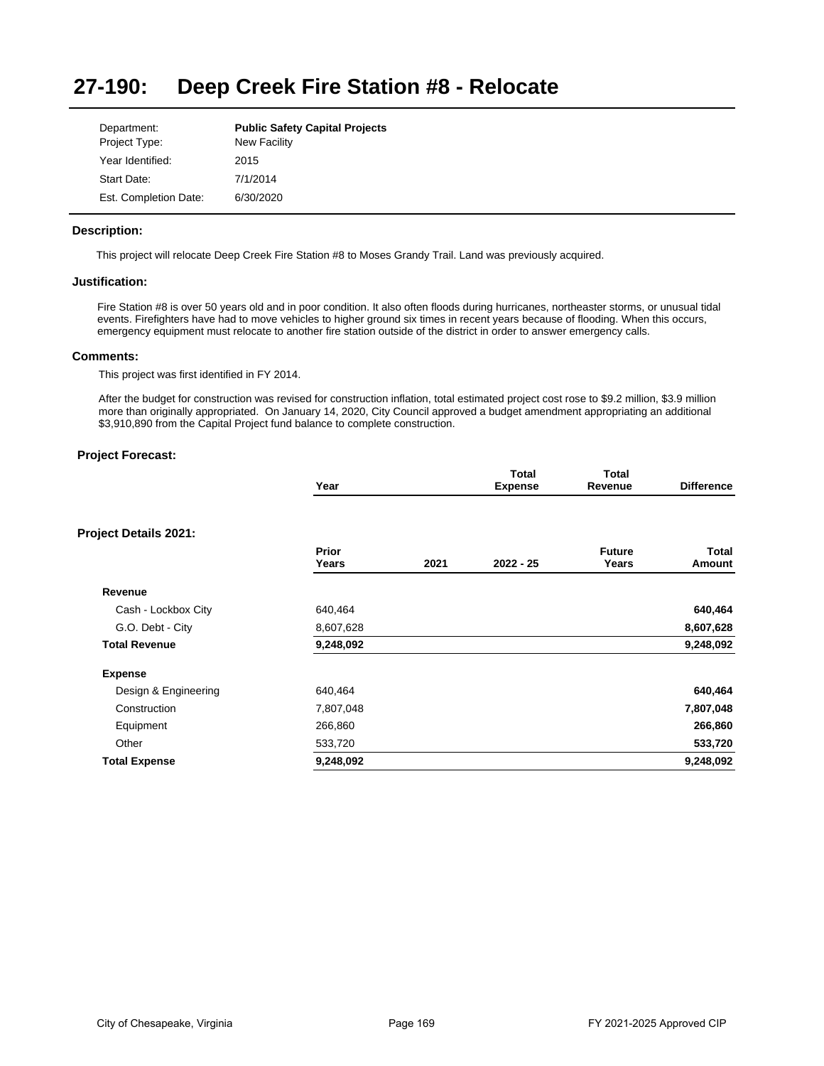#### **27-190: Deep Creek Fire Station #8 - Relocate**

| Department:           | <b>Public Safety Capital Projects</b> |
|-----------------------|---------------------------------------|
| Project Type:         | <b>New Facility</b>                   |
| Year Identified:      | 2015                                  |
| Start Date:           | 7/1/2014                              |
| Est. Completion Date: | 6/30/2020                             |

## **Description:**

This project will relocate Deep Creek Fire Station #8 to Moses Grandy Trail. Land was previously acquired.

## **Justification:**

Fire Station #8 is over 50 years old and in poor condition. It also often floods during hurricanes, northeaster storms, or unusual tidal events. Firefighters have had to move vehicles to higher ground six times in recent years because of flooding. When this occurs, emergency equipment must relocate to another fire station outside of the district in order to answer emergency calls.

### **Comments:**

This project was first identified in FY 2014.

After the budget for construction was revised for construction inflation, total estimated project cost rose to \$9.2 million, \$3.9 million more than originally appropriated. On January 14, 2020, City Council approved a budget amendment appropriating an additional \$3,910,890 from the Capital Project fund balance to complete construction.

|                              | Year           |      | Total<br><b>Expense</b> | <b>Total</b><br>Revenue | <b>Difference</b> |
|------------------------------|----------------|------|-------------------------|-------------------------|-------------------|
| <b>Project Details 2021:</b> |                |      |                         |                         |                   |
|                              | Prior<br>Years | 2021 | 2022 - 25               | <b>Future</b><br>Years  | Total<br>Amount   |
| Revenue                      |                |      |                         |                         |                   |
| Cash - Lockbox City          | 640,464        |      |                         |                         | 640,464           |
| G.O. Debt - City             | 8,607,628      |      |                         |                         | 8,607,628         |
| <b>Total Revenue</b>         | 9,248,092      |      |                         |                         | 9,248,092         |
| <b>Expense</b>               |                |      |                         |                         |                   |
| Design & Engineering         | 640,464        |      |                         |                         | 640,464           |
| Construction                 | 7,807,048      |      |                         |                         | 7,807,048         |
| Equipment                    | 266,860        |      |                         |                         | 266,860           |
| Other                        | 533,720        |      |                         |                         | 533,720           |
| <b>Total Expense</b>         | 9,248,092      |      |                         |                         | 9,248,092         |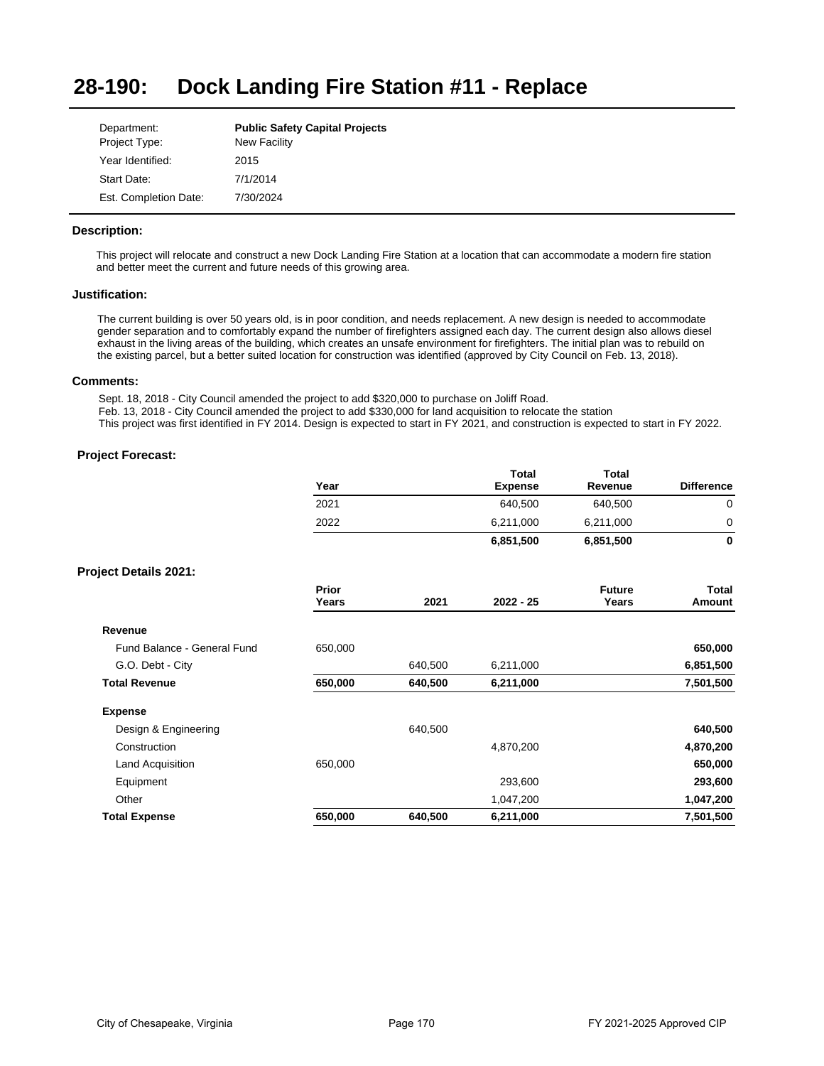#### **28-190: Dock Landing Fire Station #11 - Replace**

| Department:           | <b>Public Safety Capital Projects</b> |
|-----------------------|---------------------------------------|
| Project Type:         | <b>New Facility</b>                   |
| Year Identified:      | 2015                                  |
| Start Date:           | 7/1/2014                              |
| Est. Completion Date: | 7/30/2024                             |

## **Description:**

This project will relocate and construct a new Dock Landing Fire Station at a location that can accommodate a modern fire station and better meet the current and future needs of this growing area.

## **Justification:**

The current building is over 50 years old, is in poor condition, and needs replacement. A new design is needed to accommodate gender separation and to comfortably expand the number of firefighters assigned each day. The current design also allows diesel exhaust in the living areas of the building, which creates an unsafe environment for firefighters. The initial plan was to rebuild on the existing parcel, but a better suited location for construction was identified (approved by City Council on Feb. 13, 2018).

## **Comments:**

Sept. 18, 2018 - City Council amended the project to add \$320,000 to purchase on Joliff Road. Feb. 13, 2018 - City Council amended the project to add \$330,000 for land acquisition to relocate the station This project was first identified in FY 2014. Design is expected to start in FY 2021, and construction is expected to start in FY 2022.

|                              | Year           |         | <b>Total</b><br><b>Expense</b> | <b>Total</b><br>Revenue | <b>Difference</b>      |
|------------------------------|----------------|---------|--------------------------------|-------------------------|------------------------|
|                              | 2021           |         | 640,500                        | 640,500                 | 0                      |
|                              | 2022           |         | 6,211,000                      | 6,211,000               | 0                      |
|                              |                |         | 6,851,500                      | 6,851,500               | $\mathbf{0}$           |
| <b>Project Details 2021:</b> |                |         |                                |                         |                        |
|                              | Prior<br>Years | 2021    | 2022 - 25                      | <b>Future</b><br>Years  | <b>Total</b><br>Amount |
| Revenue                      |                |         |                                |                         |                        |
| Fund Balance - General Fund  | 650,000        |         |                                |                         | 650,000                |
| G.O. Debt - City             |                | 640,500 | 6,211,000                      |                         | 6,851,500              |
| <b>Total Revenue</b>         | 650,000        | 640,500 | 6,211,000                      |                         | 7,501,500              |
| <b>Expense</b>               |                |         |                                |                         |                        |
| Design & Engineering         |                | 640,500 |                                |                         | 640,500                |
| Construction                 |                |         | 4,870,200                      |                         | 4,870,200              |
| Land Acquisition             | 650,000        |         |                                |                         | 650,000                |
| Equipment                    |                |         | 293,600                        |                         | 293,600                |
| Other                        |                |         | 1,047,200                      |                         | 1,047,200              |
| <b>Total Expense</b>         | 650,000        | 640,500 | 6,211,000                      |                         | 7,501,500              |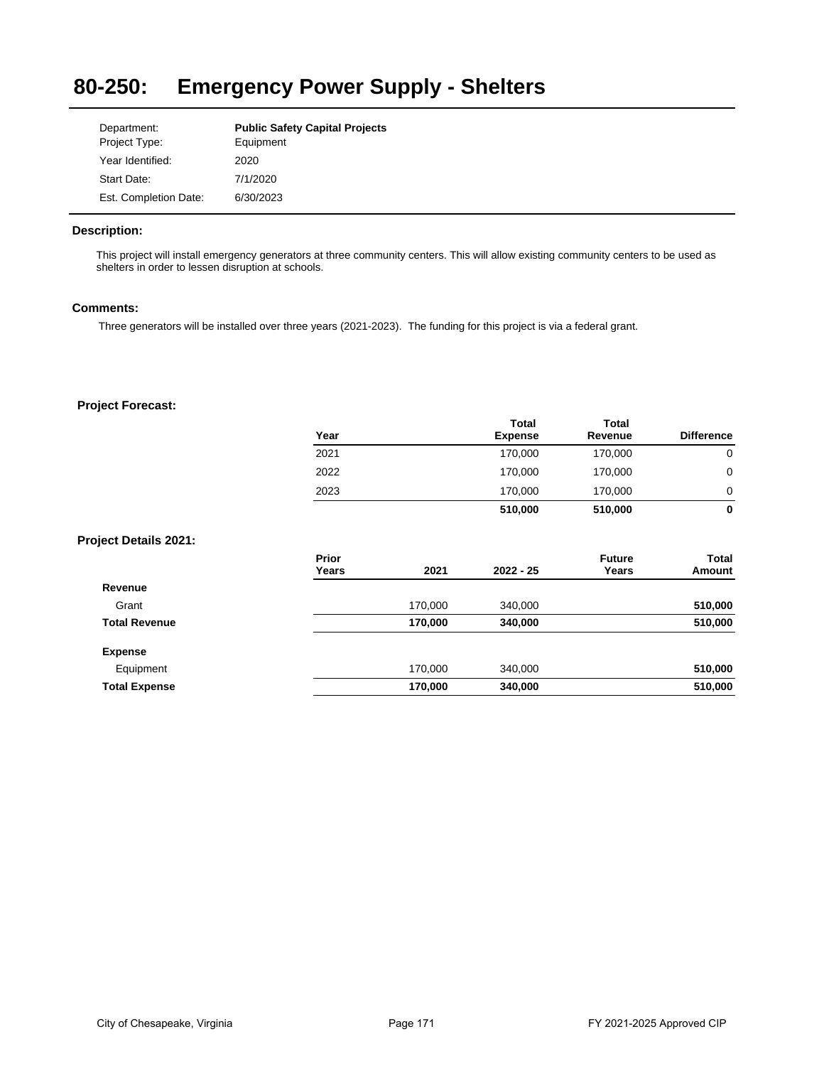### **80-250: Emergency Power Supply - Shelters**

| Department:           | <b>Public Safety Capital Projects</b> |
|-----------------------|---------------------------------------|
| Project Type:         | Equipment                             |
| Year Identified:      | 2020                                  |
| Start Date:           | 7/1/2020                              |
| Est. Completion Date: | 6/30/2023                             |

## **Description:**

This project will install emergency generators at three community centers. This will allow existing community centers to be used as shelters in order to lessen disruption at schools.

## **Comments:**

Three generators will be installed over three years (2021-2023). The funding for this project is via a federal grant.

|                              | Year           |         | Total<br><b>Expense</b> | Total<br>Revenue       | <b>Difference</b>      |
|------------------------------|----------------|---------|-------------------------|------------------------|------------------------|
|                              | 2021           |         | 170,000                 | 170,000                | $\mathbf 0$            |
|                              | 2022           |         | 170,000                 | 170,000                | $\mathbf 0$            |
|                              | 2023           |         | 170,000                 | 170,000                | 0                      |
|                              |                |         | 510,000                 | 510,000                | $\bf{0}$               |
| <b>Project Details 2021:</b> |                |         |                         |                        |                        |
|                              | Prior<br>Years | 2021    | $2022 - 25$             | <b>Future</b><br>Years | <b>Total</b><br>Amount |
| Revenue                      |                |         |                         |                        |                        |
| Grant                        |                | 170,000 | 340,000                 |                        | 510,000                |
| <b>Total Revenue</b>         |                | 170,000 | 340,000                 |                        | 510,000                |
| <b>Expense</b>               |                |         |                         |                        |                        |
| Equipment                    |                | 170,000 | 340,000                 |                        | 510,000                |
| <b>Total Expense</b>         |                | 170,000 | 340,000                 |                        | 510,000                |
|                              |                |         |                         |                        |                        |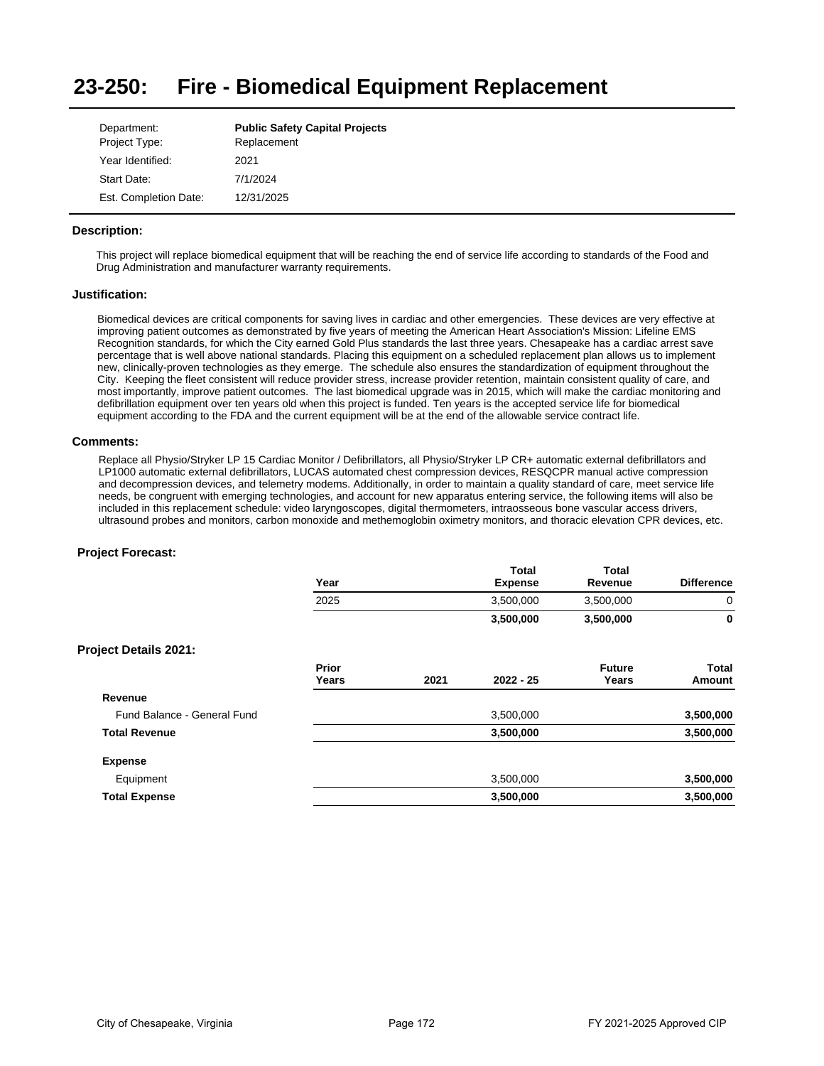#### **23-250: Fire - Biomedical Equipment Replacement**

| Department:           | <b>Public Safety Capital Projects</b> |
|-----------------------|---------------------------------------|
| Project Type:         | Replacement                           |
| Year Identified:      | 2021                                  |
| Start Date:           | 7/1/2024                              |
| Est. Completion Date: | 12/31/2025                            |

## **Description:**

This project will replace biomedical equipment that will be reaching the end of service life according to standards of the Food and Drug Administration and manufacturer warranty requirements.

## **Justification:**

Biomedical devices are critical components for saving lives in cardiac and other emergencies. These devices are very effective at improving patient outcomes as demonstrated by five years of meeting the American Heart Association's Mission: Lifeline EMS Recognition standards, for which the City earned Gold Plus standards the last three years. Chesapeake has a cardiac arrest save percentage that is well above national standards. Placing this equipment on a scheduled replacement plan allows us to implement new, clinically-proven technologies as they emerge. The schedule also ensures the standardization of equipment throughout the City. Keeping the fleet consistent will reduce provider stress, increase provider retention, maintain consistent quality of care, and most importantly, improve patient outcomes. The last biomedical upgrade was in 2015, which will make the cardiac monitoring and defibrillation equipment over ten years old when this project is funded. Ten years is the accepted service life for biomedical equipment according to the FDA and the current equipment will be at the end of the allowable service contract life.

### **Comments:**

Replace all Physio/Stryker LP 15 Cardiac Monitor / Defibrillators, all Physio/Stryker LP CR+ automatic external defibrillators and LP1000 automatic external defibrillators, LUCAS automated chest compression devices, RESQCPR manual active compression and decompression devices, and telemetry modems. Additionally, in order to maintain a quality standard of care, meet service life needs, be congruent with emerging technologies, and account for new apparatus entering service, the following items will also be included in this replacement schedule: video laryngoscopes, digital thermometers, intraosseous bone vascular access drivers, ultrasound probes and monitors, carbon monoxide and methemoglobin oximetry monitors, and thoracic elevation CPR devices, etc.

|                              | Year           |      | Total<br><b>Expense</b> | <b>Total</b><br>Revenue | <b>Difference</b> |
|------------------------------|----------------|------|-------------------------|-------------------------|-------------------|
|                              | 2025           |      | 3,500,000               | 3,500,000               | 0                 |
|                              |                |      | 3,500,000               | 3,500,000               | 0                 |
| <b>Project Details 2021:</b> |                |      |                         |                         |                   |
|                              | Prior<br>Years | 2021 | $2022 - 25$             | <b>Future</b><br>Years  | Total<br>Amount   |
| Revenue                      |                |      |                         |                         |                   |
| Fund Balance - General Fund  |                |      | 3,500,000               |                         | 3,500,000         |
| <b>Total Revenue</b>         |                |      | 3,500,000               |                         | 3,500,000         |
| <b>Expense</b>               |                |      |                         |                         |                   |
| Equipment                    |                |      | 3,500,000               |                         | 3,500,000         |
| <b>Total Expense</b>         |                |      | 3,500,000               |                         | 3,500,000         |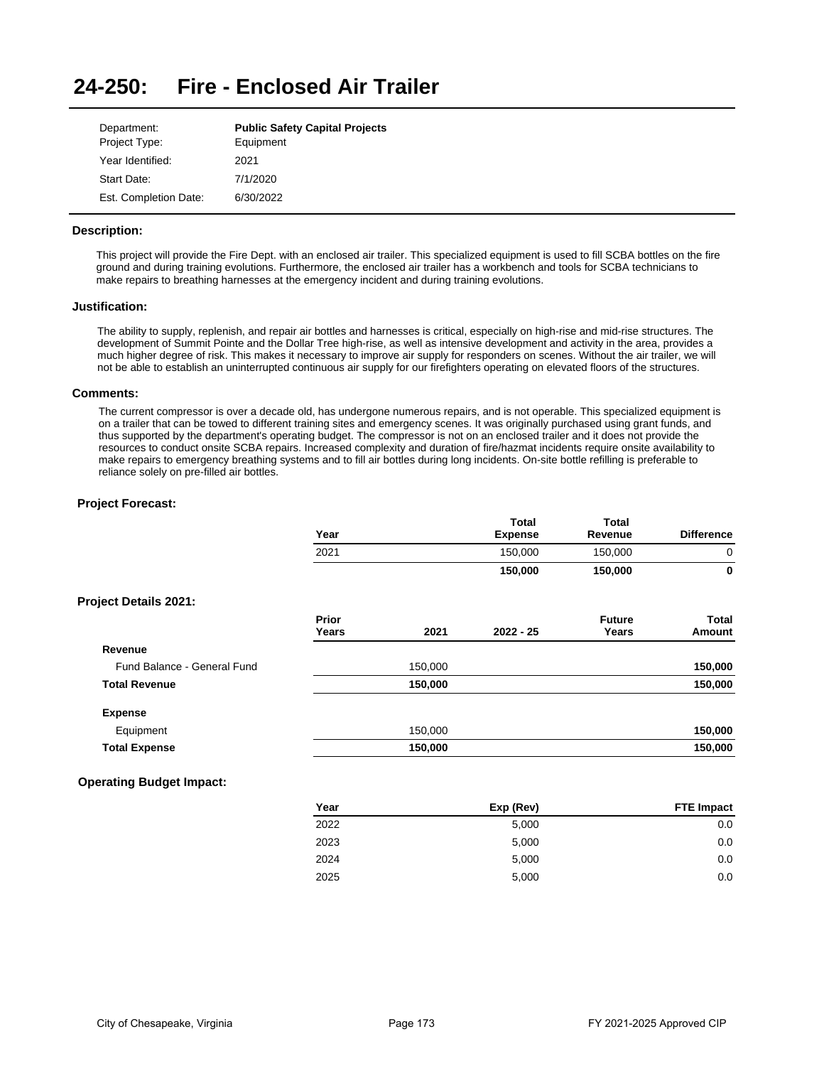#### **24-250: Fire - Enclosed Air Trailer**

| Department:           | <b>Public Safety Capital Projects</b> |
|-----------------------|---------------------------------------|
| Project Type:         | Equipment                             |
| Year Identified:      | 2021                                  |
| Start Date:           | 7/1/2020                              |
| Est. Completion Date: | 6/30/2022                             |

## **Description:**

This project will provide the Fire Dept. with an enclosed air trailer. This specialized equipment is used to fill SCBA bottles on the fire ground and during training evolutions. Furthermore, the enclosed air trailer has a workbench and tools for SCBA technicians to make repairs to breathing harnesses at the emergency incident and during training evolutions.

## **Justification:**

The ability to supply, replenish, and repair air bottles and harnesses is critical, especially on high-rise and mid-rise structures. The development of Summit Pointe and the Dollar Tree high-rise, as well as intensive development and activity in the area, provides a much higher degree of risk. This makes it necessary to improve air supply for responders on scenes. Without the air trailer, we will not be able to establish an uninterrupted continuous air supply for our firefighters operating on elevated floors of the structures.

### **Comments:**

The current compressor is over a decade old, has undergone numerous repairs, and is not operable. This specialized equipment is on a trailer that can be towed to different training sites and emergency scenes. It was originally purchased using grant funds, and thus supported by the department's operating budget. The compressor is not on an enclosed trailer and it does not provide the resources to conduct onsite SCBA repairs. Increased complexity and duration of fire/hazmat incidents require onsite availability to make repairs to emergency breathing systems and to fill air bottles during long incidents. On-site bottle refilling is preferable to reliance solely on pre-filled air bottles.

|                              | Year           |         | Total<br><b>Expense</b> | <b>Total</b><br>Revenue | <b>Difference</b> |
|------------------------------|----------------|---------|-------------------------|-------------------------|-------------------|
|                              | 2021           |         | 150,000                 | 150,000                 | $\mathbf 0$       |
|                              |                |         | 150,000                 | 150,000                 | $\bf{0}$          |
| <b>Project Details 2021:</b> |                |         |                         |                         |                   |
|                              | Prior<br>Years | 2021    | $2022 - 25$             | <b>Future</b><br>Years  | Total<br>Amount   |
| Revenue                      |                |         |                         |                         |                   |
| Fund Balance - General Fund  |                | 150,000 |                         |                         | 150,000           |
| <b>Total Revenue</b>         |                | 150,000 |                         |                         | 150,000           |
| <b>Expense</b>               |                |         |                         |                         |                   |
| Equipment                    |                | 150,000 |                         |                         | 150,000           |
| <b>Total Expense</b>         |                | 150,000 |                         |                         | 150,000           |

| Year | Exp (Rev) | <b>FTE Impact</b> |
|------|-----------|-------------------|
| 2022 | 5,000     | 0.0               |
| 2023 | 5,000     | 0.0               |
| 2024 | 5,000     | 0.0               |
| 2025 | 5,000     | 0.0               |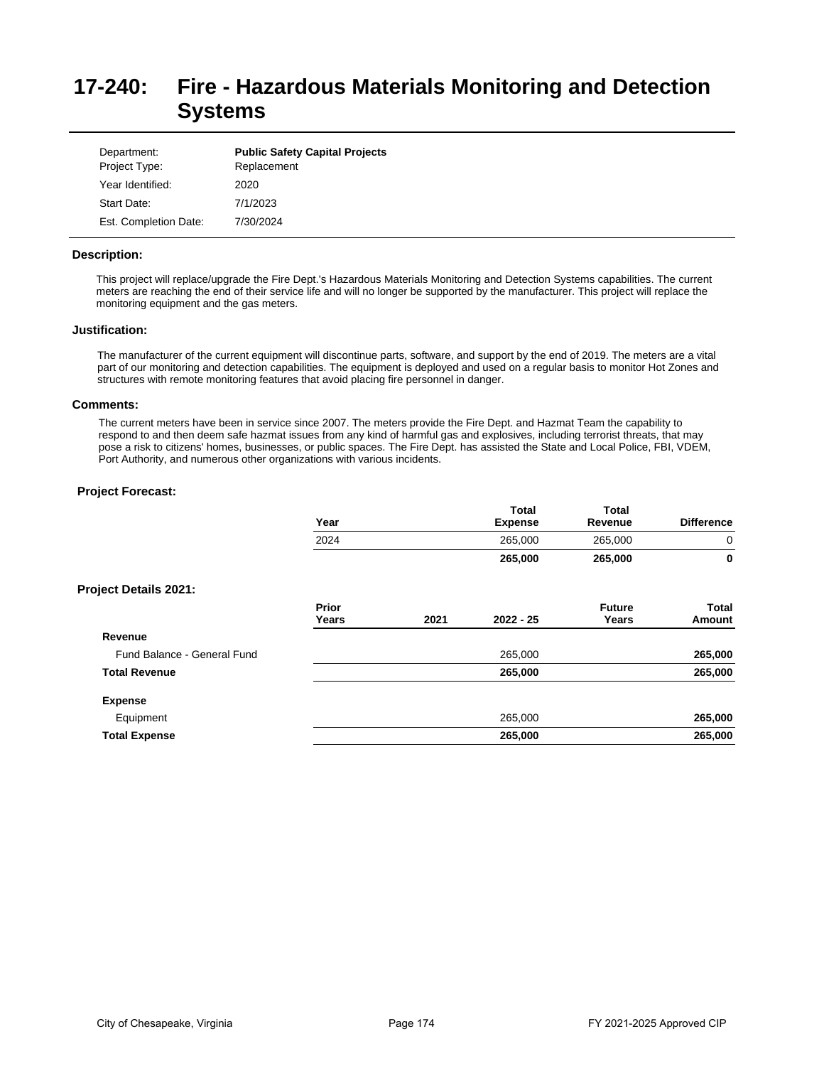# **17-240: Fire - Hazardous Materials Monitoring and Detection Systems**

| Department:<br>Project Type: | <b>Public Safety Capital Projects</b><br>Replacement |
|------------------------------|------------------------------------------------------|
| Year Identified:             | 2020                                                 |
| Start Date:                  | 7/1/2023                                             |
| Est. Completion Date:        | 7/30/2024                                            |

## **Description:**

This project will replace/upgrade the Fire Dept.'s Hazardous Materials Monitoring and Detection Systems capabilities. The current meters are reaching the end of their service life and will no longer be supported by the manufacturer. This project will replace the monitoring equipment and the gas meters.

### **Justification:**

The manufacturer of the current equipment will discontinue parts, software, and support by the end of 2019. The meters are a vital part of our monitoring and detection capabilities. The equipment is deployed and used on a regular basis to monitor Hot Zones and structures with remote monitoring features that avoid placing fire personnel in danger.

#### **Comments:**

The current meters have been in service since 2007. The meters provide the Fire Dept. and Hazmat Team the capability to respond to and then deem safe hazmat issues from any kind of harmful gas and explosives, including terrorist threats, that may pose a risk to citizens' homes, businesses, or public spaces. The Fire Dept. has assisted the State and Local Police, FBI, VDEM, Port Authority, and numerous other organizations with various incidents.

|                              | Year           |      | Total<br><b>Expense</b> | Total<br>Revenue       | <b>Difference</b>      |
|------------------------------|----------------|------|-------------------------|------------------------|------------------------|
|                              | 2024           |      | 265,000                 | 265,000                | 0                      |
|                              |                |      | 265,000                 | 265,000                | 0                      |
| <b>Project Details 2021:</b> |                |      |                         |                        |                        |
|                              | Prior<br>Years | 2021 | $2022 - 25$             | <b>Future</b><br>Years | <b>Total</b><br>Amount |
| Revenue                      |                |      |                         |                        |                        |
| Fund Balance - General Fund  |                |      | 265,000                 |                        | 265,000                |
| <b>Total Revenue</b>         |                |      | 265,000                 |                        | 265,000                |
| <b>Expense</b>               |                |      |                         |                        |                        |
| Equipment                    |                |      | 265,000                 |                        | 265,000                |
| <b>Total Expense</b>         |                |      | 265,000                 |                        | 265,000                |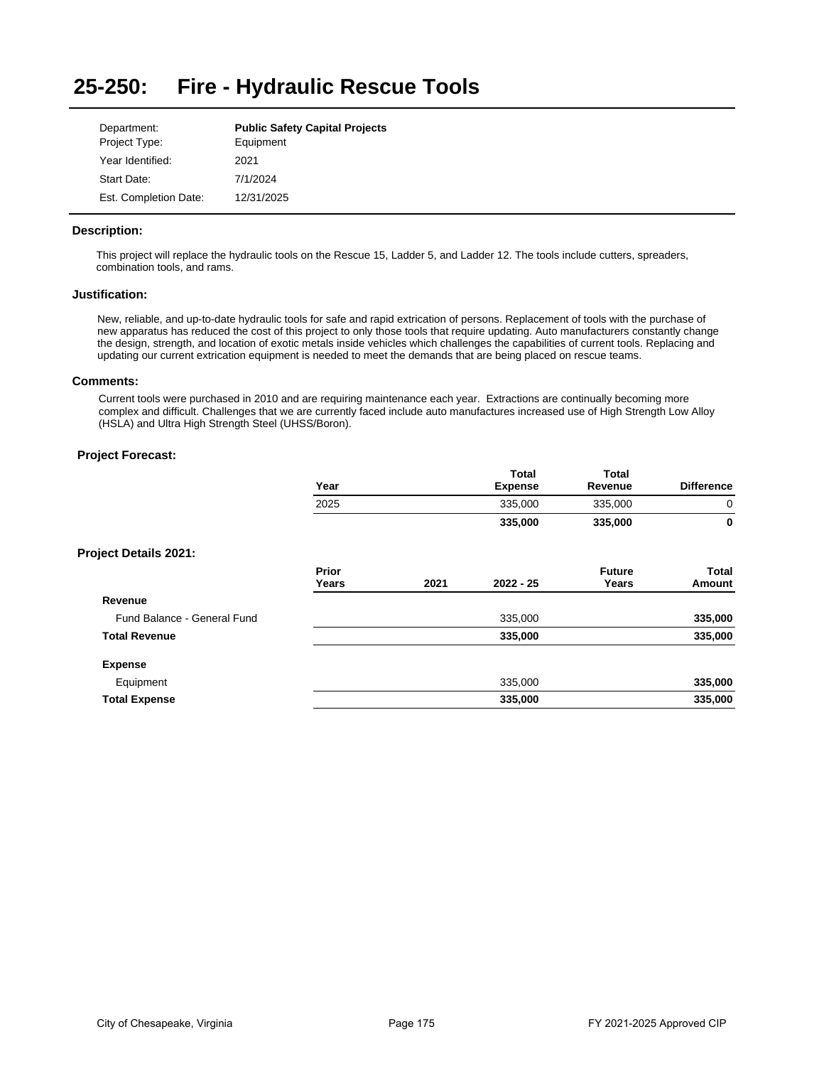#### **25-250: Fire - Hydraulic Rescue Tools**

| Department:           | <b>Public Safety Capital Projects</b> |
|-----------------------|---------------------------------------|
| Project Type:         | Equipment                             |
| Year Identified:      | 2021                                  |
| Start Date:           | 7/1/2024                              |
| Est. Completion Date: | 12/31/2025                            |

## **Description:**

This project will replace the hydraulic tools on the Rescue 15, Ladder 5, and Ladder 12. The tools include cutters, spreaders, combination tools, and rams.

## **Justification:**

New, reliable, and up-to-date hydraulic tools for safe and rapid extrication of persons. Replacement of tools with the purchase of new apparatus has reduced the cost of this project to only those tools that require updating. Auto manufacturers constantly change the design, strength, and location of exotic metals inside vehicles which challenges the capabilities of current tools. Replacing and updating our current extrication equipment is needed to meet the demands that are being placed on rescue teams.

## **Comments:**

Current tools were purchased in 2010 and are requiring maintenance each year. Extractions are continually becoming more complex and difficult. Challenges that we are currently faced include auto manufactures increased use of High Strength Low Alloy (HSLA) and Ultra High Strength Steel (UHSS/Boron).

|                              | Year           |      | <b>Total</b><br><b>Expense</b> | <b>Total</b><br>Revenue | <b>Difference</b> |
|------------------------------|----------------|------|--------------------------------|-------------------------|-------------------|
|                              | 2025           |      | 335,000                        | 335,000                 | 0                 |
|                              |                |      | 335,000                        | 335,000                 | 0                 |
| <b>Project Details 2021:</b> |                |      |                                |                         |                   |
|                              | Prior<br>Years | 2021 | $2022 - 25$                    | <b>Future</b><br>Years  | Total<br>Amount   |
| Revenue                      |                |      |                                |                         |                   |
| Fund Balance - General Fund  |                |      | 335,000                        |                         | 335,000           |
| <b>Total Revenue</b>         |                |      | 335,000                        |                         | 335,000           |
| <b>Expense</b>               |                |      |                                |                         |                   |
| Equipment                    |                |      | 335,000                        |                         | 335,000           |
| <b>Total Expense</b>         |                |      | 335,000                        |                         | 335,000           |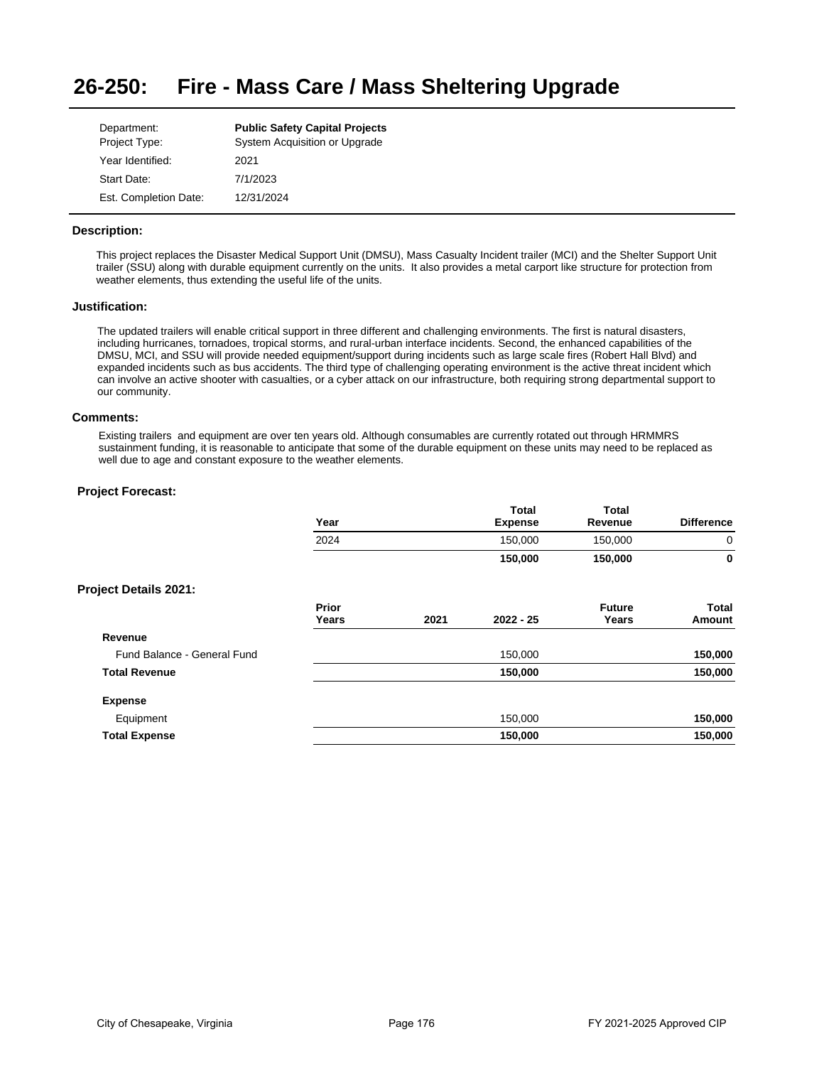#### **26-250: Fire - Mass Care / Mass Sheltering Upgrade**

| Department:           | <b>Public Safety Capital Projects</b> |
|-----------------------|---------------------------------------|
| Project Type:         | System Acquisition or Upgrade         |
| Year Identified:      | 2021                                  |
| Start Date:           | 7/1/2023                              |
| Est. Completion Date: | 12/31/2024                            |

## **Description:**

This project replaces the Disaster Medical Support Unit (DMSU), Mass Casualty Incident trailer (MCI) and the Shelter Support Unit trailer (SSU) along with durable equipment currently on the units. It also provides a metal carport like structure for protection from weather elements, thus extending the useful life of the units.

## **Justification:**

The updated trailers will enable critical support in three different and challenging environments. The first is natural disasters, including hurricanes, tornadoes, tropical storms, and rural-urban interface incidents. Second, the enhanced capabilities of the DMSU, MCI, and SSU will provide needed equipment/support during incidents such as large scale fires (Robert Hall Blvd) and expanded incidents such as bus accidents. The third type of challenging operating environment is the active threat incident which can involve an active shooter with casualties, or a cyber attack on our infrastructure, both requiring strong departmental support to our community.

### **Comments:**

Existing trailers and equipment are over ten years old. Although consumables are currently rotated out through HRMMRS sustainment funding, it is reasonable to anticipate that some of the durable equipment on these units may need to be replaced as well due to age and constant exposure to the weather elements.

|                              | Year           |      | <b>Total</b><br><b>Expense</b> | <b>Total</b><br>Revenue | <b>Difference</b>      |
|------------------------------|----------------|------|--------------------------------|-------------------------|------------------------|
|                              | 2024           |      | 150,000                        | 150,000                 | 0                      |
|                              |                |      | 150,000                        | 150,000                 | 0                      |
| <b>Project Details 2021:</b> |                |      |                                |                         |                        |
|                              | Prior<br>Years | 2021 | $2022 - 25$                    | <b>Future</b><br>Years  | <b>Total</b><br>Amount |
| Revenue                      |                |      |                                |                         |                        |
| Fund Balance - General Fund  |                |      | 150,000                        |                         | 150,000                |
| <b>Total Revenue</b>         |                |      | 150,000                        |                         | 150,000                |
| <b>Expense</b>               |                |      |                                |                         |                        |
| Equipment                    |                |      | 150,000                        |                         | 150,000                |
| <b>Total Expense</b>         |                |      | 150,000                        |                         | 150,000                |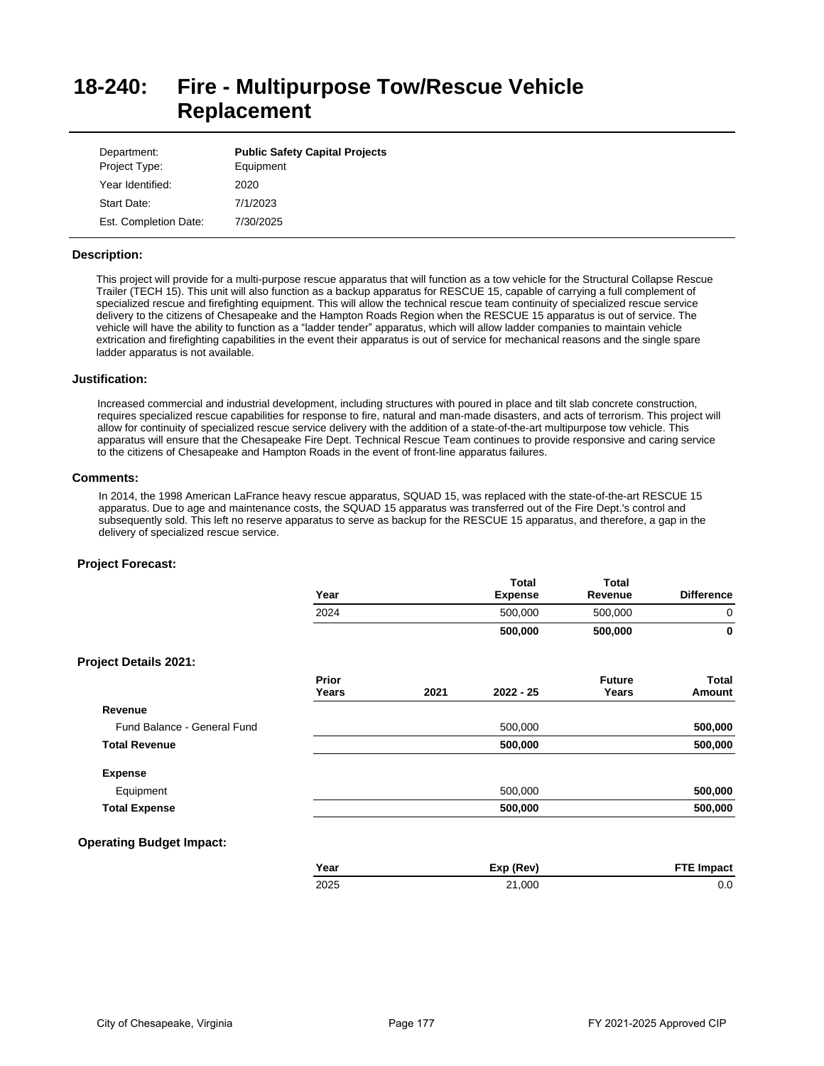# **18-240: Fire - Multipurpose Tow/Rescue Vehicle Replacement**

| Department:<br>Project Type: | <b>Public Safety Capital Projects</b><br>Equipment |
|------------------------------|----------------------------------------------------|
| Year Identified:             | 2020                                               |
| Start Date:                  | 7/1/2023                                           |
| Est. Completion Date:        | 7/30/2025                                          |

### **Description:**

This project will provide for a multi-purpose rescue apparatus that will function as a tow vehicle for the Structural Collapse Rescue Trailer (TECH 15). This unit will also function as a backup apparatus for RESCUE 15, capable of carrying a full complement of specialized rescue and firefighting equipment. This will allow the technical rescue team continuity of specialized rescue service delivery to the citizens of Chesapeake and the Hampton Roads Region when the RESCUE 15 apparatus is out of service. The vehicle will have the ability to function as a "ladder tender" apparatus, which will allow ladder companies to maintain vehicle extrication and firefighting capabilities in the event their apparatus is out of service for mechanical reasons and the single spare ladder apparatus is not available.

## **Justification:**

Increased commercial and industrial development, including structures with poured in place and tilt slab concrete construction, requires specialized rescue capabilities for response to fire, natural and man-made disasters, and acts of terrorism. This project will allow for continuity of specialized rescue service delivery with the addition of a state-of-the-art multipurpose tow vehicle. This apparatus will ensure that the Chesapeake Fire Dept. Technical Rescue Team continues to provide responsive and caring service to the citizens of Chesapeake and Hampton Roads in the event of front-line apparatus failures.

## **Comments:**

In 2014, the 1998 American LaFrance heavy rescue apparatus, SQUAD 15, was replaced with the state-of-the-art RESCUE 15 apparatus. Due to age and maintenance costs, the SQUAD 15 apparatus was transferred out of the Fire Dept.'s control and subsequently sold. This left no reserve apparatus to serve as backup for the RESCUE 15 apparatus, and therefore, a gap in the delivery of specialized rescue service.

|                                 | Year           |      | <b>Total</b><br><b>Expense</b> | <b>Total</b><br>Revenue | <b>Difference</b>      |
|---------------------------------|----------------|------|--------------------------------|-------------------------|------------------------|
|                                 | 2024           |      | 500,000                        | 500,000                 | $\mathbf 0$            |
|                                 |                |      | 500,000                        | 500,000                 | $\mathbf 0$            |
| <b>Project Details 2021:</b>    |                |      |                                |                         |                        |
|                                 | Prior<br>Years | 2021 | 2022 - 25                      | <b>Future</b><br>Years  | <b>Total</b><br>Amount |
| Revenue                         |                |      |                                |                         |                        |
| Fund Balance - General Fund     |                |      | 500,000                        |                         | 500,000                |
| <b>Total Revenue</b>            |                |      | 500,000                        |                         | 500,000                |
| <b>Expense</b>                  |                |      |                                |                         |                        |
| Equipment                       |                |      | 500,000                        |                         | 500,000                |
| <b>Total Expense</b>            |                |      | 500,000                        |                         | 500,000                |
| <b>Operating Budget Impact:</b> |                |      |                                |                         |                        |
|                                 | Year           |      | Exp (Rev)                      |                         | <b>FTE Impact</b>      |
|                                 | 2025           |      | 21,000                         |                         | 0.0                    |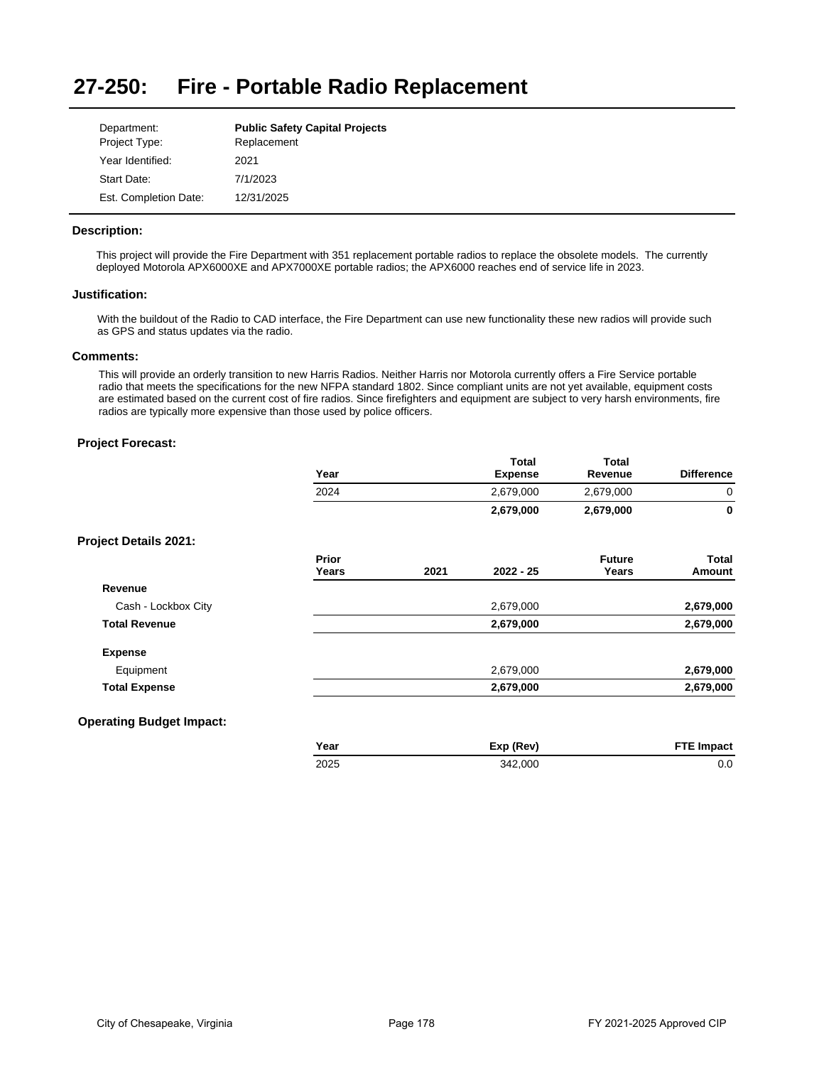#### **27-250: Fire - Portable Radio Replacement**

| Department:           | <b>Public Safety Capital Projects</b> |
|-----------------------|---------------------------------------|
| Project Type:         | Replacement                           |
| Year Identified:      | 2021                                  |
| Start Date:           | 7/1/2023                              |
| Est. Completion Date: | 12/31/2025                            |

## **Description:**

This project will provide the Fire Department with 351 replacement portable radios to replace the obsolete models. The currently deployed Motorola APX6000XE and APX7000XE portable radios; the APX6000 reaches end of service life in 2023.

## **Justification:**

With the buildout of the Radio to CAD interface, the Fire Department can use new functionality these new radios will provide such as GPS and status updates via the radio.

## **Comments:**

This will provide an orderly transition to new Harris Radios. Neither Harris nor Motorola currently offers a Fire Service portable radio that meets the specifications for the new NFPA standard 1802. Since compliant units are not yet available, equipment costs are estimated based on the current cost of fire radios. Since firefighters and equipment are subject to very harsh environments, fire radios are typically more expensive than those used by police officers.

## **Project Forecast:**

|                                 | Year           |      | <b>Total</b><br><b>Expense</b> | Total<br>Revenue       | <b>Difference</b> |
|---------------------------------|----------------|------|--------------------------------|------------------------|-------------------|
|                                 | 2024           |      | 2,679,000                      | 2,679,000              | 0                 |
|                                 |                |      | 2,679,000                      | 2,679,000              | $\mathbf{0}$      |
| <b>Project Details 2021:</b>    |                |      |                                |                        |                   |
|                                 | Prior<br>Years | 2021 | $2022 - 25$                    | <b>Future</b><br>Years | Total<br>Amount   |
| Revenue                         |                |      |                                |                        |                   |
| Cash - Lockbox City             |                |      | 2,679,000                      |                        | 2,679,000         |
| <b>Total Revenue</b>            |                |      | 2,679,000                      |                        | 2,679,000         |
| <b>Expense</b>                  |                |      |                                |                        |                   |
| Equipment                       |                |      | 2,679,000                      |                        | 2,679,000         |
| <b>Total Expense</b>            |                |      | 2,679,000                      |                        | 2,679,000         |
| <b>Operating Budget Impact:</b> |                |      |                                |                        |                   |
|                                 | Year           |      | Exp (Rev)                      |                        | <b>FTE Impact</b> |

2025 342,000 0.0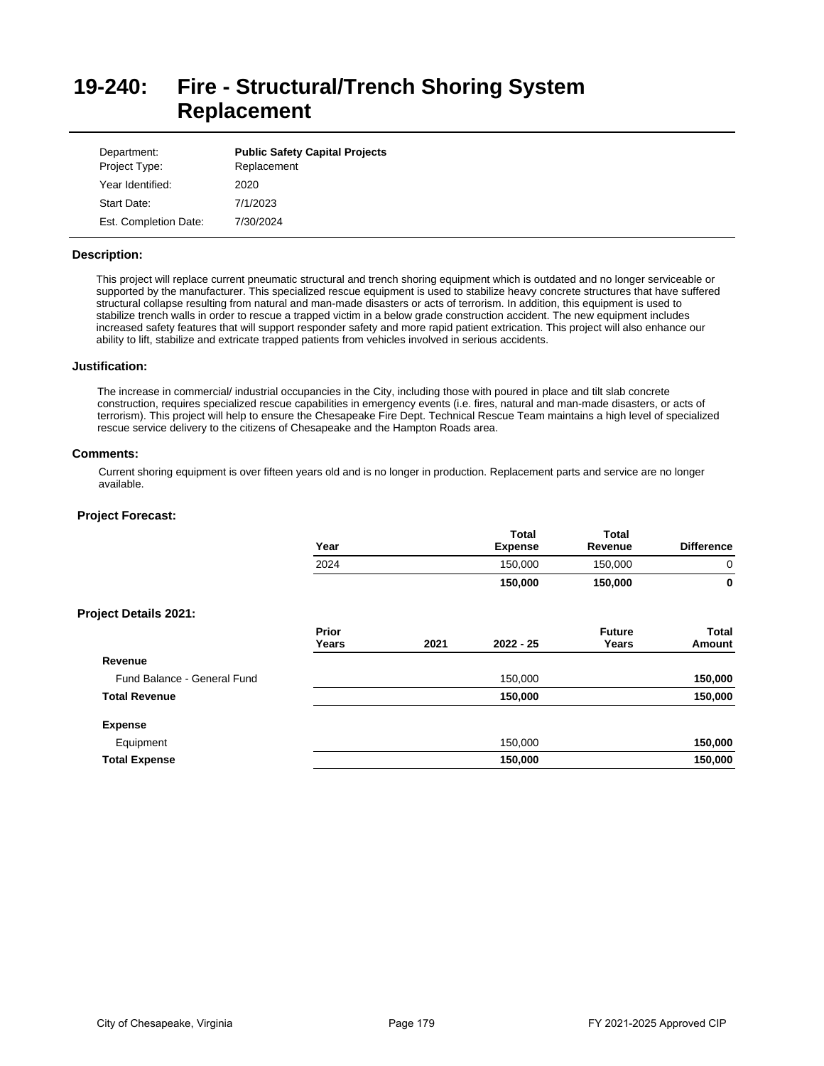# **19-240: Fire - Structural/Trench Shoring System Replacement**

| Department:<br>Project Type: | <b>Public Safety Capital Projects</b><br>Replacement |
|------------------------------|------------------------------------------------------|
| Year Identified:             | 2020                                                 |
| Start Date:                  | 7/1/2023                                             |
| Est. Completion Date:        | 7/30/2024                                            |

## **Description:**

This project will replace current pneumatic structural and trench shoring equipment which is outdated and no longer serviceable or supported by the manufacturer. This specialized rescue equipment is used to stabilize heavy concrete structures that have suffered structural collapse resulting from natural and man-made disasters or acts of terrorism. In addition, this equipment is used to stabilize trench walls in order to rescue a trapped victim in a below grade construction accident. The new equipment includes increased safety features that will support responder safety and more rapid patient extrication. This project will also enhance our ability to lift, stabilize and extricate trapped patients from vehicles involved in serious accidents.

## **Justification:**

The increase in commercial/ industrial occupancies in the City, including those with poured in place and tilt slab concrete construction, requires specialized rescue capabilities in emergency events (i.e. fires, natural and man-made disasters, or acts of terrorism). This project will help to ensure the Chesapeake Fire Dept. Technical Rescue Team maintains a high level of specialized rescue service delivery to the citizens of Chesapeake and the Hampton Roads area.

## **Comments:**

Current shoring equipment is over fifteen years old and is no longer in production. Replacement parts and service are no longer available.

|                              | Year           |      | <b>Total</b><br><b>Expense</b> | <b>Total</b><br>Revenue | <b>Difference</b> |
|------------------------------|----------------|------|--------------------------------|-------------------------|-------------------|
|                              | 2024           |      | 150,000                        | 150,000                 | 0                 |
|                              |                |      | 150,000                        | 150,000                 | 0                 |
| <b>Project Details 2021:</b> |                |      |                                |                         |                   |
|                              | Prior<br>Years | 2021 | $2022 - 25$                    | <b>Future</b><br>Years  | Total<br>Amount   |
| Revenue                      |                |      |                                |                         |                   |
| Fund Balance - General Fund  |                |      | 150,000                        |                         | 150,000           |
| <b>Total Revenue</b>         |                |      | 150,000                        |                         | 150,000           |
| <b>Expense</b>               |                |      |                                |                         |                   |
| Equipment                    |                |      | 150,000                        |                         | 150,000           |
| <b>Total Expense</b>         |                |      | 150,000                        |                         | 150,000           |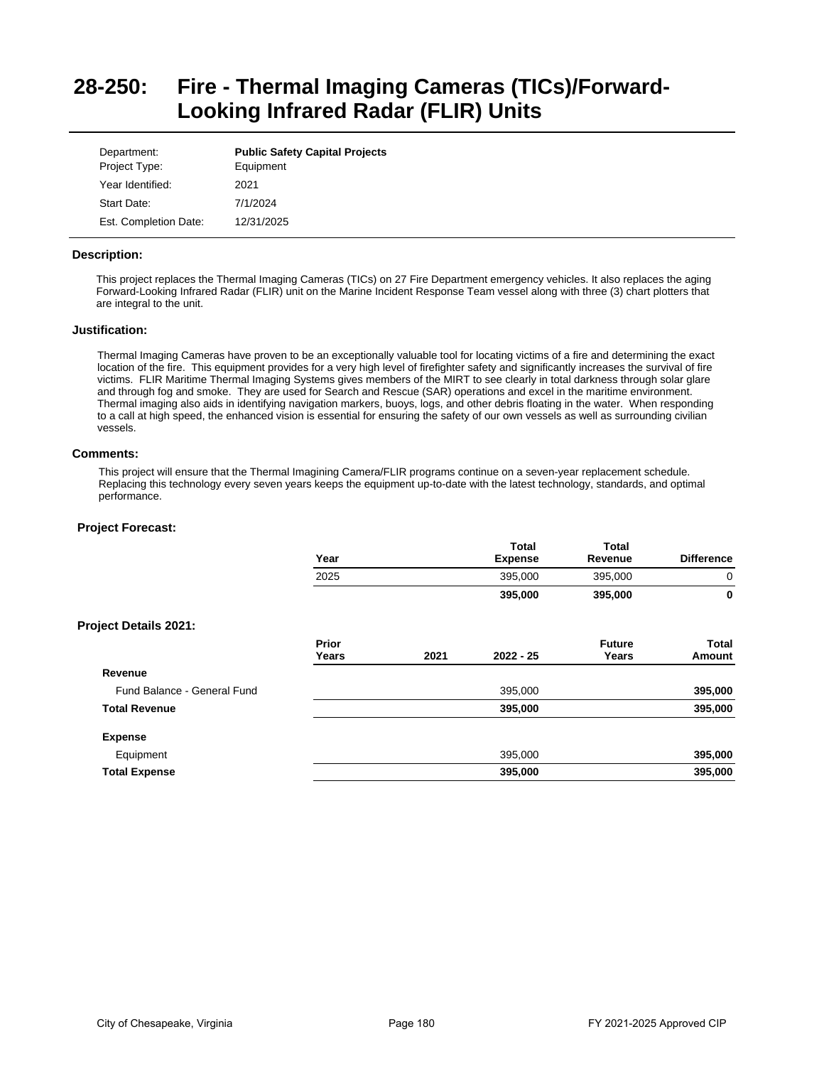# **28-250: Fire - Thermal Imaging Cameras (TICs)/Forward-Looking Infrared Radar (FLIR) Units**

| Department:<br>Project Type: | <b>Public Safety Capital Projects</b><br>Equipment |
|------------------------------|----------------------------------------------------|
| Year Identified:             | 2021                                               |
| Start Date:                  | 7/1/2024                                           |
| Est. Completion Date:        | 12/31/2025                                         |

## **Description:**

This project replaces the Thermal Imaging Cameras (TICs) on 27 Fire Department emergency vehicles. It also replaces the aging Forward-Looking Infrared Radar (FLIR) unit on the Marine Incident Response Team vessel along with three (3) chart plotters that are integral to the unit.

## **Justification:**

Thermal Imaging Cameras have proven to be an exceptionally valuable tool for locating victims of a fire and determining the exact location of the fire. This equipment provides for a very high level of firefighter safety and significantly increases the survival of fire victims. FLIR Maritime Thermal Imaging Systems gives members of the MIRT to see clearly in total darkness through solar glare and through fog and smoke. They are used for Search and Rescue (SAR) operations and excel in the maritime environment. Thermal imaging also aids in identifying navigation markers, buoys, logs, and other debris floating in the water. When responding to a call at high speed, the enhanced vision is essential for ensuring the safety of our own vessels as well as surrounding civilian vessels.

## **Comments:**

This project will ensure that the Thermal Imagining Camera/FLIR programs continue on a seven-year replacement schedule. Replacing this technology every seven years keeps the equipment up-to-date with the latest technology, standards, and optimal performance.

|                              | Year           |      | <b>Total</b><br><b>Expense</b> | Total<br>Revenue       | <b>Difference</b>      |
|------------------------------|----------------|------|--------------------------------|------------------------|------------------------|
|                              | 2025           |      | 395,000                        | 395,000                | 0                      |
|                              |                |      | 395,000                        | 395,000                | 0                      |
| <b>Project Details 2021:</b> |                |      |                                |                        |                        |
|                              | Prior<br>Years | 2021 | 2022 - 25                      | <b>Future</b><br>Years | <b>Total</b><br>Amount |
| Revenue                      |                |      |                                |                        |                        |
| Fund Balance - General Fund  |                |      | 395,000                        |                        | 395,000                |
| <b>Total Revenue</b>         |                |      | 395,000                        |                        | 395,000                |
| <b>Expense</b>               |                |      |                                |                        |                        |
| Equipment                    |                |      | 395,000                        |                        | 395,000                |
| <b>Total Expense</b>         |                |      | 395,000                        |                        | 395,000                |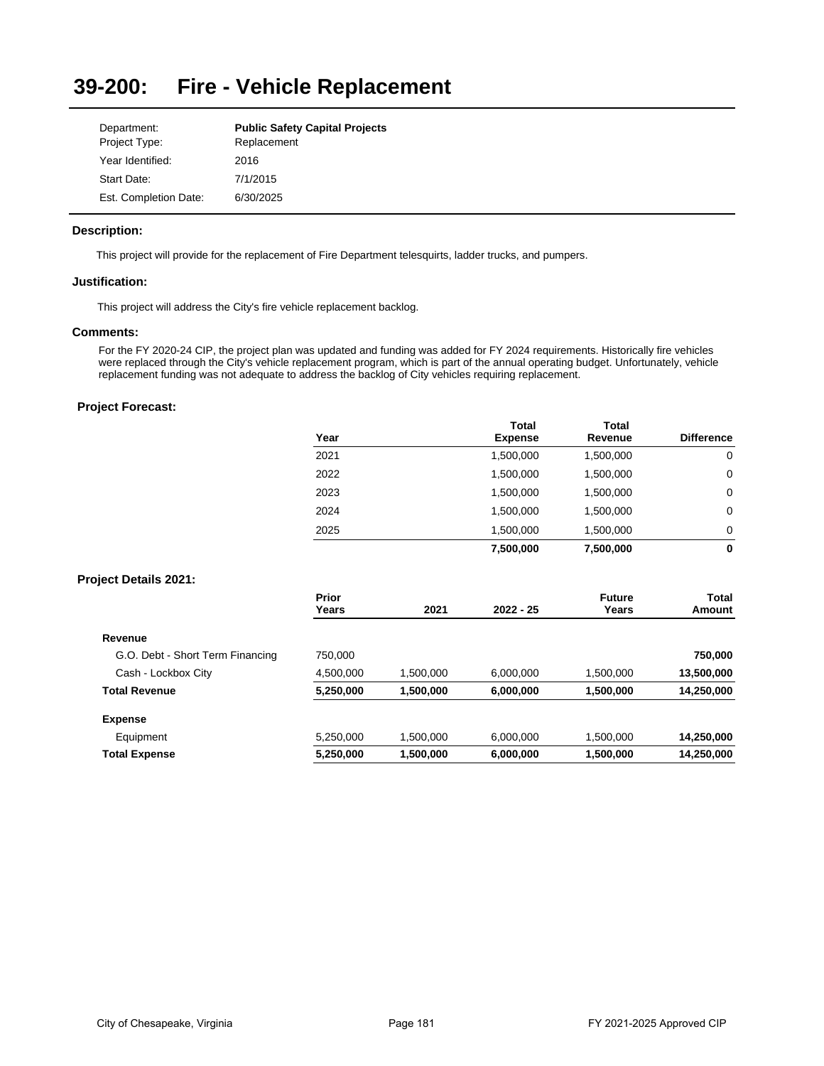#### **39-200: Fire - Vehicle Replacement**

| Department:           | <b>Public Safety Capital Projects</b> |
|-----------------------|---------------------------------------|
| Project Type:         | Replacement                           |
| Year Identified:      | 2016                                  |
| Start Date:           | 7/1/2015                              |
| Est. Completion Date: | 6/30/2025                             |

## **Description:**

This project will provide for the replacement of Fire Department telesquirts, ladder trucks, and pumpers.

## **Justification:**

This project will address the City's fire vehicle replacement backlog.

## **Comments:**

For the FY 2020-24 CIP, the project plan was updated and funding was added for FY 2024 requirements. Historically fire vehicles were replaced through the City's vehicle replacement program, which is part of the annual operating budget. Unfortunately, vehicle replacement funding was not adequate to address the backlog of City vehicles requiring replacement.

# **Project Forecast:**

| Year | Total<br><b>Expense</b> | <b>Total</b><br>Revenue | <b>Difference</b> |
|------|-------------------------|-------------------------|-------------------|
| 2021 | 1,500,000               | 1,500,000               | 0                 |
| 2022 | 1,500,000               | 1,500,000               | 0                 |
| 2023 | 1,500,000               | 1,500,000               | 0                 |
| 2024 | 1,500,000               | 1,500,000               | 0                 |
| 2025 | 1,500,000               | 1,500,000               | 0                 |
|      | 7,500,000               | 7,500,000               | 0                 |

## **Project Details 2021:**

| Prior<br>Years | 2021      | $2022 - 25$ | <b>Future</b><br>Years | Total<br>Amount |
|----------------|-----------|-------------|------------------------|-----------------|
|                |           |             |                        |                 |
| 750.000        |           |             |                        | 750,000         |
| 4,500,000      | 1,500,000 | 6.000.000   | 1,500,000              | 13,500,000      |
| 5,250,000      | 1,500,000 | 6,000,000   | 1,500,000              | 14,250,000      |
|                |           |             |                        |                 |
| 5,250,000      | 1,500,000 | 6,000,000   | 1,500,000              | 14,250,000      |
| 5,250,000      | 1,500,000 | 6,000,000   | 1,500,000              | 14,250,000      |
|                |           |             |                        |                 |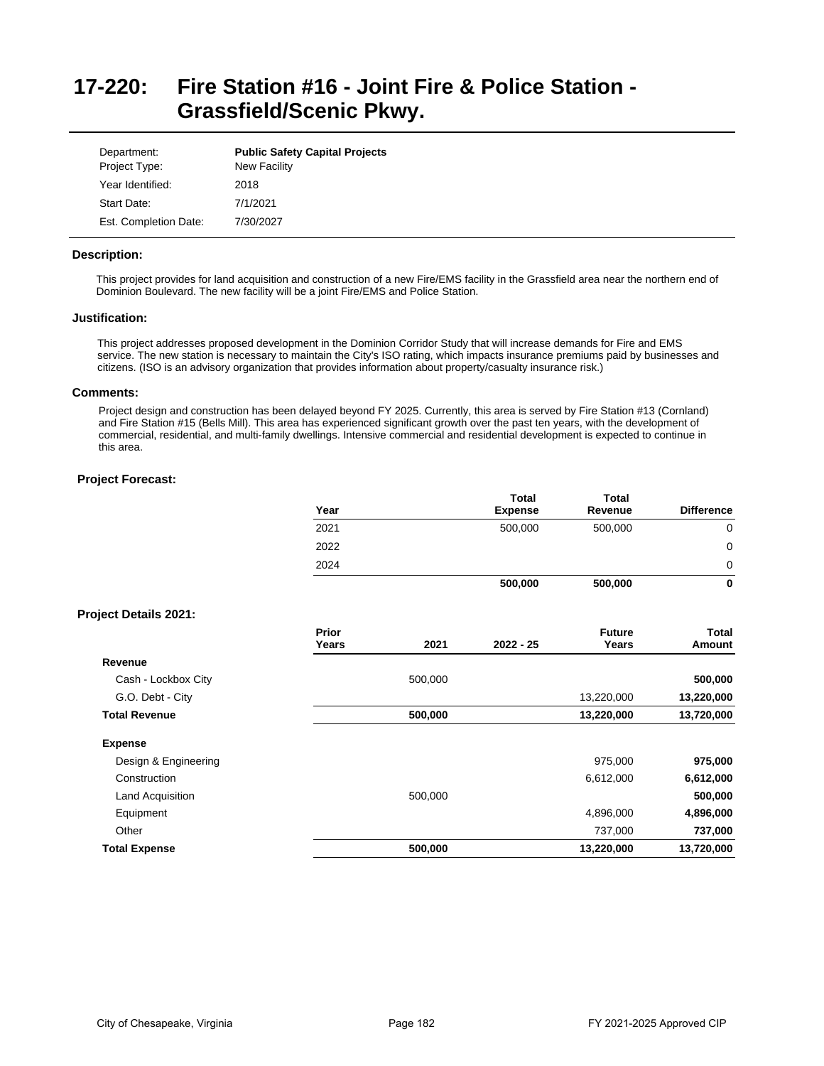# **17-220: Fire Station #16 - Joint Fire & Police Station - Grassfield/Scenic Pkwy.**

| Department:<br>Project Type: | <b>Public Safety Capital Projects</b><br><b>New Facility</b> |
|------------------------------|--------------------------------------------------------------|
| Year Identified:             | 2018                                                         |
| Start Date:                  | 7/1/2021                                                     |
| Est. Completion Date:        | 7/30/2027                                                    |

### **Description:**

This project provides for land acquisition and construction of a new Fire/EMS facility in the Grassfield area near the northern end of Dominion Boulevard. The new facility will be a joint Fire/EMS and Police Station.

## **Justification:**

This project addresses proposed development in the Dominion Corridor Study that will increase demands for Fire and EMS service. The new station is necessary to maintain the City's ISO rating, which impacts insurance premiums paid by businesses and citizens. (ISO is an advisory organization that provides information about property/casualty insurance risk.)

## **Comments:**

Project design and construction has been delayed beyond FY 2025. Currently, this area is served by Fire Station #13 (Cornland) and Fire Station #15 (Bells Mill). This area has experienced significant growth over the past ten years, with the development of commercial, residential, and multi-family dwellings. Intensive commercial and residential development is expected to continue in this area.

|                              | Year                  |         | <b>Total</b><br><b>Expense</b> | <b>Total</b><br>Revenue | <b>Difference</b>      |
|------------------------------|-----------------------|---------|--------------------------------|-------------------------|------------------------|
|                              | 2021                  |         | 500,000                        | 500,000                 | 0                      |
|                              | 2022                  |         |                                |                         | $\mathbf 0$            |
|                              | 2024                  |         |                                |                         | 0                      |
|                              |                       |         | 500,000                        | 500,000                 | $\bf{0}$               |
| <b>Project Details 2021:</b> |                       |         |                                |                         |                        |
|                              | <b>Prior</b><br>Years | 2021    | 2022 - 25                      | <b>Future</b><br>Years  | <b>Total</b><br>Amount |
| Revenue                      |                       |         |                                |                         |                        |
| Cash - Lockbox City          |                       | 500,000 |                                |                         | 500,000                |
| G.O. Debt - City             |                       |         |                                | 13,220,000              | 13,220,000             |
| <b>Total Revenue</b>         |                       | 500,000 |                                | 13,220,000              | 13,720,000             |
| <b>Expense</b>               |                       |         |                                |                         |                        |
| Design & Engineering         |                       |         |                                | 975,000                 | 975,000                |
| Construction                 |                       |         |                                | 6,612,000               | 6,612,000              |
| Land Acquisition             |                       | 500,000 |                                |                         | 500,000                |
| Equipment                    |                       |         |                                | 4,896,000               | 4,896,000              |
| Other                        |                       |         |                                | 737,000                 | 737,000                |
| <b>Total Expense</b>         |                       | 500,000 |                                | 13,220,000              | 13,720,000             |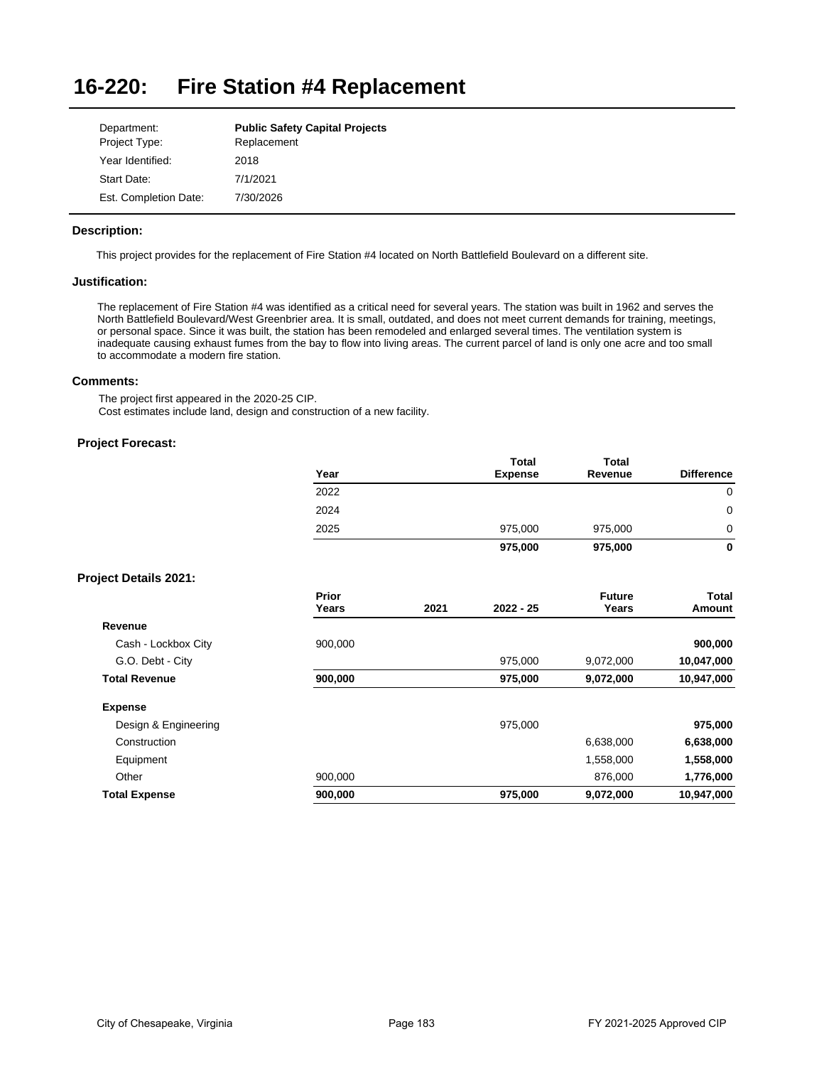#### **16-220: Fire Station #4 Replacement**

| Department:           | <b>Public Safety Capital Projects</b> |
|-----------------------|---------------------------------------|
| Project Type:         | Replacement                           |
| Year Identified:      | 2018                                  |
| Start Date:           | 7/1/2021                              |
| Est. Completion Date: | 7/30/2026                             |

## **Description:**

This project provides for the replacement of Fire Station #4 located on North Battlefield Boulevard on a different site.

## **Justification:**

The replacement of Fire Station #4 was identified as a critical need for several years. The station was built in 1962 and serves the North Battlefield Boulevard/West Greenbrier area. It is small, outdated, and does not meet current demands for training, meetings, or personal space. Since it was built, the station has been remodeled and enlarged several times. The ventilation system is inadequate causing exhaust fumes from the bay to flow into living areas. The current parcel of land is only one acre and too small to accommodate a modern fire station.

## **Comments:**

The project first appeared in the 2020-25 CIP. Cost estimates include land, design and construction of a new facility.

## **Project Forecast:**

| Year | <b>Total</b><br><b>Expense</b> | <b>Total</b><br>Revenue | <b>Difference</b> |
|------|--------------------------------|-------------------------|-------------------|
| 2022 |                                |                         | 0                 |
| 2024 |                                |                         | 0                 |
| 2025 | 975,000                        | 975,000                 | 0                 |
|      | 975,000                        | 975,000                 | 0                 |

## **Project Details 2021:**

|                      | Prior<br>Years | 2021 | $2022 - 25$ | <b>Future</b><br>Years | Total<br>Amount |
|----------------------|----------------|------|-------------|------------------------|-----------------|
| Revenue              |                |      |             |                        |                 |
| Cash - Lockbox City  | 900,000        |      |             |                        | 900,000         |
| G.O. Debt - City     |                |      | 975,000     | 9,072,000              | 10,047,000      |
| <b>Total Revenue</b> | 900,000        |      | 975,000     | 9,072,000              | 10,947,000      |
| <b>Expense</b>       |                |      |             |                        |                 |
| Design & Engineering |                |      | 975.000     |                        | 975,000         |
| Construction         |                |      |             | 6,638,000              | 6,638,000       |
| Equipment            |                |      |             | 1,558,000              | 1,558,000       |
| Other                | 900,000        |      |             | 876,000                | 1,776,000       |
| <b>Total Expense</b> | 900,000        |      | 975,000     | 9,072,000              | 10,947,000      |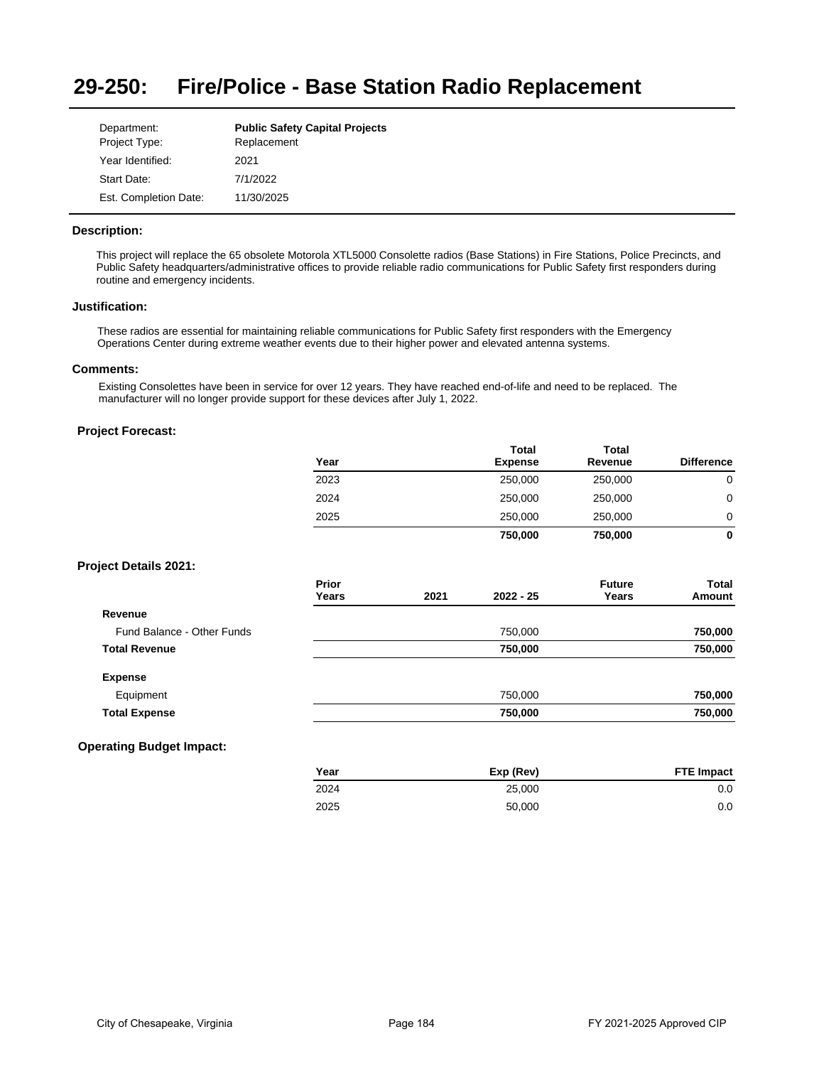#### **29-250: Fire/Police - Base Station Radio Replacement**

| Department:           | <b>Public Safety Capital Projects</b> |
|-----------------------|---------------------------------------|
| Project Type:         | Replacement                           |
| Year Identified:      | 2021                                  |
| Start Date:           | 7/1/2022                              |
| Est. Completion Date: | 11/30/2025                            |

## **Description:**

This project will replace the 65 obsolete Motorola XTL5000 Consolette radios (Base Stations) in Fire Stations, Police Precincts, and Public Safety headquarters/administrative offices to provide reliable radio communications for Public Safety first responders during routine and emergency incidents.

## **Justification:**

These radios are essential for maintaining reliable communications for Public Safety first responders with the Emergency Operations Center during extreme weather events due to their higher power and elevated antenna systems.

### **Comments:**

Existing Consolettes have been in service for over 12 years. They have reached end-of-life and need to be replaced. The manufacturer will no longer provide support for these devices after July 1, 2022.

## **Project Forecast:**

|                              | Year           |      | <b>Total</b><br><b>Expense</b> | <b>Total</b><br>Revenue | <b>Difference</b> |
|------------------------------|----------------|------|--------------------------------|-------------------------|-------------------|
|                              | 2023           |      | 250,000                        | 250,000                 | $\mathbf 0$       |
|                              | 2024           |      | 250,000                        | 250,000                 | $\mathbf 0$       |
|                              | 2025           |      | 250,000                        | 250,000                 | 0                 |
|                              |                |      | 750,000                        | 750,000                 | $\mathbf 0$       |
| <b>Project Details 2021:</b> |                |      |                                |                         |                   |
|                              | Prior<br>Years | 2021 | $2022 - 25$                    | <b>Future</b><br>Years  | Total<br>Amount   |
| Revenue                      |                |      |                                |                         |                   |
| Fund Balance - Other Funds   |                |      | 750,000                        |                         | 750,000           |
| <b>Total Revenue</b>         |                |      | 750,000                        |                         | 750,000           |
| <b>Expense</b>               |                |      |                                |                         |                   |
| Equipment                    |                |      | 750,000                        |                         | 750,000           |
| <b>Total Expense</b>         |                |      | 750,000                        |                         | 750,000           |

# **Operating Budget Impact:**

| Year | Exp (Rev) | <b>FTE Impact</b> |
|------|-----------|-------------------|
| 2024 | 25.000    | $0.0\,$           |
| 2025 | 50,000    | $0.0\,$           |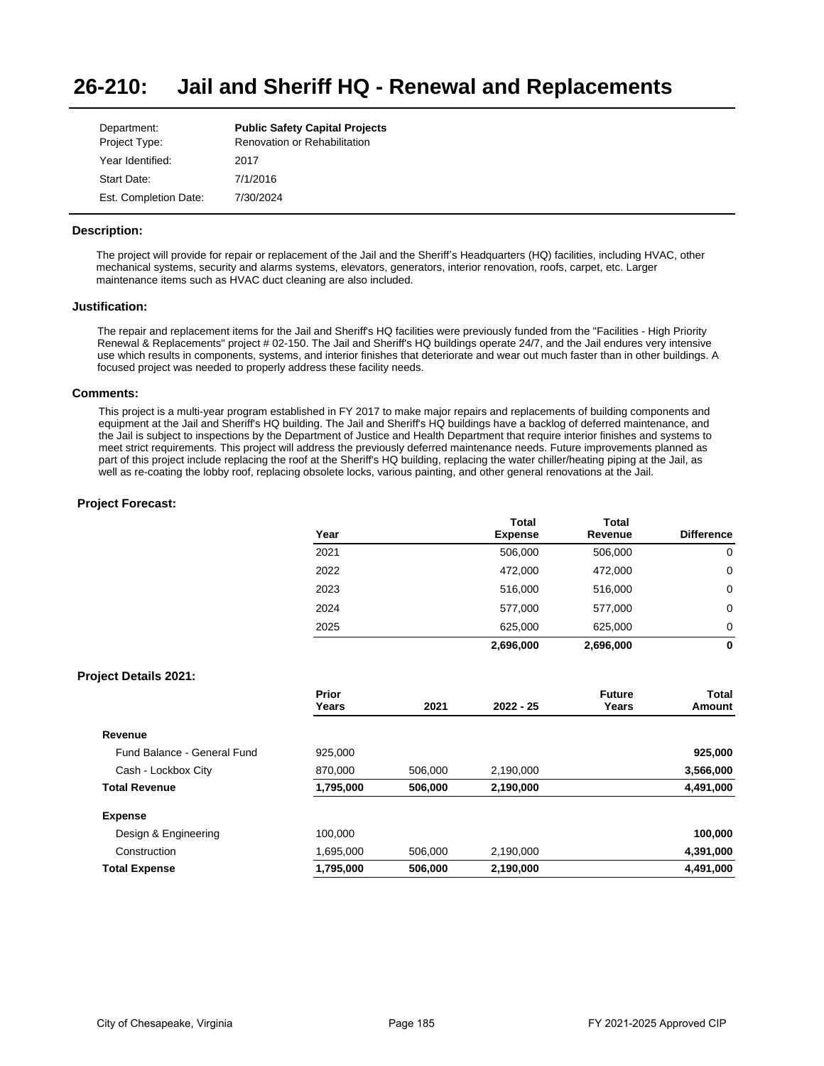#### **26-210: Jail and Sheriff HQ - Renewal and Replacements**

| Department:           | <b>Public Safety Capital Projects</b> |
|-----------------------|---------------------------------------|
| Project Type:         | Renovation or Rehabilitation          |
| Year Identified:      | 2017                                  |
| Start Date:           | 7/1/2016                              |
| Est. Completion Date: | 7/30/2024                             |

## **Description:**

The project will provide for repair or replacement of the Jail and the Sheriff's Headquarters (HQ) facilities, including HVAC, other mechanical systems, security and alarms systems, elevators, generators, interior renovation, roofs, carpet, etc. Larger maintenance items such as HVAC duct cleaning are also included.

#### **Justification:**

The repair and replacement items for the Jail and Sheriff's HQ facilities were previously funded from the "Facilities - High Priority Renewal & Replacements" project # 02-150. The Jail and Sheriff's HQ buildings operate 24/7, and the Jail endures very intensive use which results in components, systems, and interior finishes that deteriorate and wear out much faster than in other buildings. A focused project was needed to properly address these facility needs.

### **Comments:**

This project is a multi-year program established in FY 2017 to make major repairs and replacements of building components and equipment at the Jail and Sheriff's HQ building. The Jail and Sheriff's HQ buildings have a backlog of deferred maintenance, and the Jail is subject to inspections by the Department of Justice and Health Department that require interior finishes and systems to meet strict requirements. This project will address the previously deferred maintenance needs. Future improvements planned as part of this project include replacing the roof at the Sheriff's HQ building, replacing the water chiller/heating piping at the Jail, as well as re-coating the lobby roof, replacing obsolete locks, various painting, and other general renovations at the Jail.

## **Project Forecast:**

| Year | <b>Total</b><br><b>Expense</b> | <b>Total</b><br>Revenue | <b>Difference</b> |
|------|--------------------------------|-------------------------|-------------------|
| 2021 | 506,000                        | 506,000                 | 0                 |
| 2022 | 472,000                        | 472,000                 | 0                 |
| 2023 | 516,000                        | 516,000                 | 0                 |
| 2024 | 577,000                        | 577,000                 | 0                 |
| 2025 | 625,000                        | 625,000                 | 0                 |
|      | 2.696.000                      | 2.696.000               | 0                 |

## **Project Details 2021:**

|                             | Prior<br>Years | 2021    | $2022 - 25$ | <b>Future</b><br>Years | Total<br>Amount |
|-----------------------------|----------------|---------|-------------|------------------------|-----------------|
| Revenue                     |                |         |             |                        |                 |
| Fund Balance - General Fund | 925.000        |         |             |                        | 925,000         |
| Cash - Lockbox City         | 870.000        | 506.000 | 2,190,000   |                        | 3,566,000       |
| <b>Total Revenue</b>        | 1,795,000      | 506,000 | 2,190,000   |                        | 4,491,000       |
| <b>Expense</b>              |                |         |             |                        |                 |
| Design & Engineering        | 100.000        |         |             |                        | 100,000         |
| Construction                | 1,695,000      | 506,000 | 2.190.000   |                        | 4,391,000       |
| <b>Total Expense</b>        | 1,795,000      | 506,000 | 2,190,000   |                        | 4,491,000       |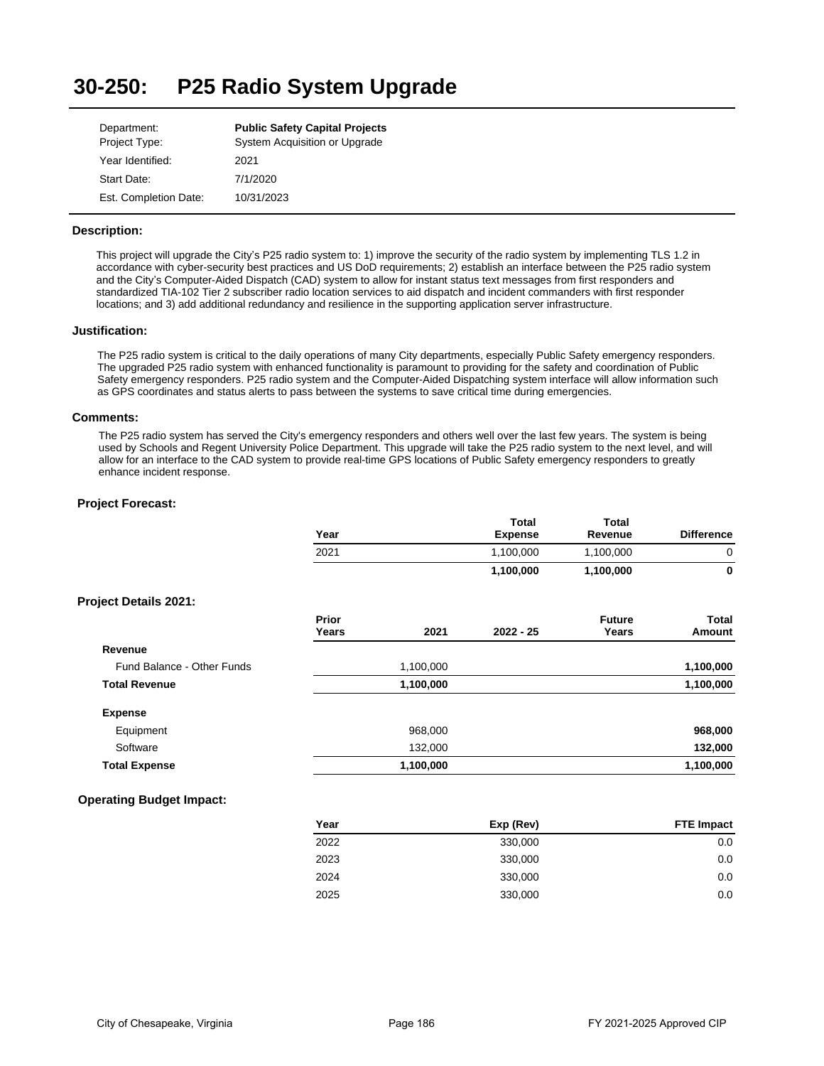#### **30-250: P25 Radio System Upgrade**

| Department:           | <b>Public Safety Capital Projects</b> |
|-----------------------|---------------------------------------|
| Project Type:         | System Acquisition or Upgrade         |
| Year Identified:      | 2021                                  |
| Start Date:           | 7/1/2020                              |
| Est. Completion Date: | 10/31/2023                            |

## **Description:**

This project will upgrade the City's P25 radio system to: 1) improve the security of the radio system by implementing TLS 1.2 in accordance with cyber-security best practices and US DoD requirements; 2) establish an interface between the P25 radio system and the City's Computer-Aided Dispatch (CAD) system to allow for instant status text messages from first responders and standardized TIA-102 Tier 2 subscriber radio location services to aid dispatch and incident commanders with first responder locations; and 3) add additional redundancy and resilience in the supporting application server infrastructure.

### **Justification:**

The P25 radio system is critical to the daily operations of many City departments, especially Public Safety emergency responders. The upgraded P25 radio system with enhanced functionality is paramount to providing for the safety and coordination of Public Safety emergency responders. P25 radio system and the Computer-Aided Dispatching system interface will allow information such as GPS coordinates and status alerts to pass between the systems to save critical time during emergencies.

### **Comments:**

The P25 radio system has served the City's emergency responders and others well over the last few years. The system is being used by Schools and Regent University Police Department. This upgrade will take the P25 radio system to the next level, and will allow for an interface to the CAD system to provide real-time GPS locations of Public Safety emergency responders to greatly enhance incident response.

## **Project Forecast:**

|                              | Year           |           | <b>Total</b><br><b>Expense</b> | <b>Total</b><br>Revenue | <b>Difference</b> |
|------------------------------|----------------|-----------|--------------------------------|-------------------------|-------------------|
|                              | 2021           |           | 1,100,000                      | 1,100,000               | $\mathbf 0$       |
|                              |                |           | 1,100,000                      | 1,100,000               | 0                 |
| <b>Project Details 2021:</b> |                |           |                                |                         |                   |
|                              | Prior<br>Years | 2021      | $2022 - 25$                    | <b>Future</b><br>Years  | Total<br>Amount   |
| Revenue                      |                |           |                                |                         |                   |
| Fund Balance - Other Funds   |                | 1,100,000 |                                |                         | 1,100,000         |
| <b>Total Revenue</b>         |                | 1,100,000 |                                |                         | 1,100,000         |
| <b>Expense</b>               |                |           |                                |                         |                   |
| Equipment                    |                | 968,000   |                                |                         | 968,000           |
| Software                     |                | 132,000   |                                |                         | 132,000           |
| <b>Total Expense</b>         |                | 1,100,000 |                                |                         | 1,100,000         |

## **Operating Budget Impact:**

| Year | Exp (Rev) | <b>FTE Impact</b> |
|------|-----------|-------------------|
| 2022 | 330,000   | 0.0               |
| 2023 | 330,000   | 0.0               |
| 2024 | 330,000   | 0.0               |
| 2025 | 330,000   | 0.0               |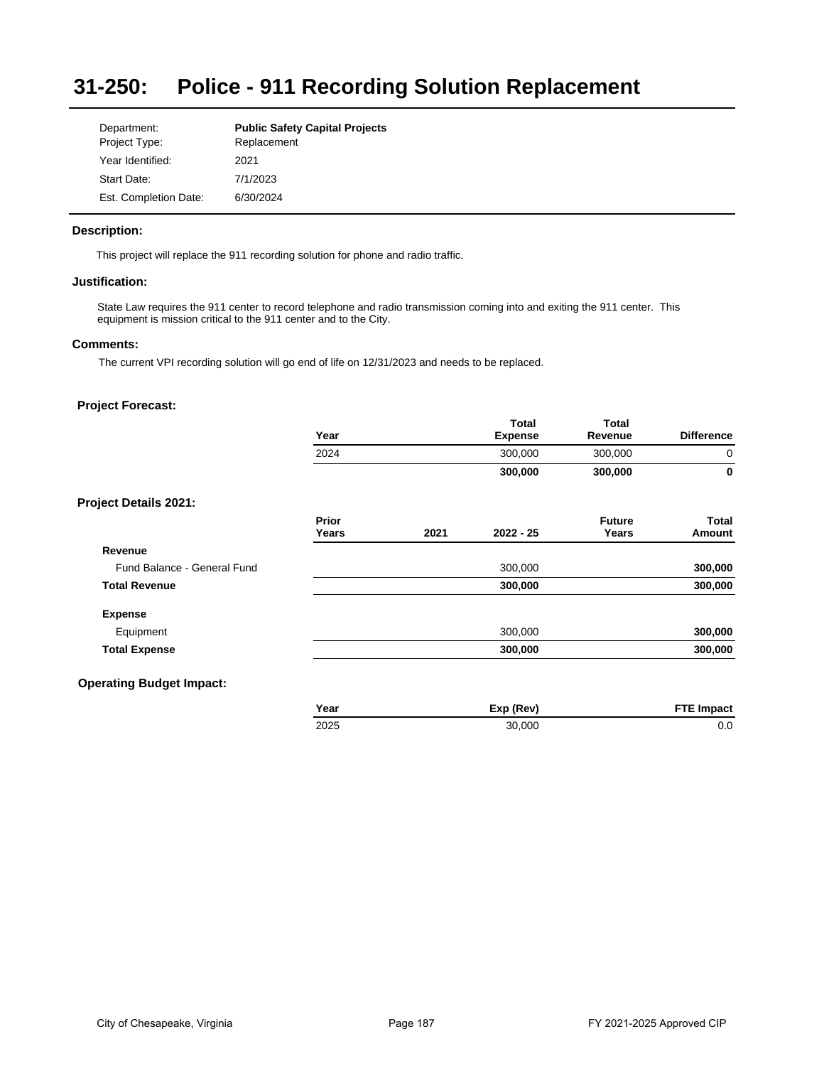## **31-250: Police - 911 Recording Solution Replacement**

| Department:           | <b>Public Safety Capital Projects</b> |
|-----------------------|---------------------------------------|
| Project Type:         | Replacement                           |
| Year Identified:      | 2021                                  |
| Start Date:           | 7/1/2023                              |
| Est. Completion Date: | 6/30/2024                             |

## **Description:**

This project will replace the 911 recording solution for phone and radio traffic.

## **Justification:**

State Law requires the 911 center to record telephone and radio transmission coming into and exiting the 911 center. This equipment is mission critical to the 911 center and to the City.

### **Comments:**

The current VPI recording solution will go end of life on 12/31/2023 and needs to be replaced.

|                              | Year  |      | Total<br><b>Expense</b> | <b>Total</b><br>Revenue | <b>Difference</b> |
|------------------------------|-------|------|-------------------------|-------------------------|-------------------|
|                              | 2024  |      | 300,000                 | 300,000                 | $\mathbf 0$       |
|                              |       |      | 300,000                 | 300,000                 | $\mathbf{0}$      |
| <b>Project Details 2021:</b> |       |      |                         |                         |                   |
|                              | Prior |      |                         | <b>Future</b>           | Total             |
|                              | Years | 2021 | $2022 - 25$             | Years                   | Amount            |
| Revenue                      |       |      |                         |                         |                   |
| Fund Balance - General Fund  |       |      | 300,000                 |                         | 300,000           |
| <b>Total Revenue</b>         |       |      | 300,000                 |                         | 300,000           |
| <b>Expense</b>               |       |      |                         |                         |                   |
| Equipment                    |       |      | 300,000                 |                         | 300,000           |
| <b>Total Expense</b>         |       |      | 300,000                 |                         | 300,000           |

| Year | Exp (Rev) | <b>FTE Impact</b> |
|------|-----------|-------------------|
| 2025 | 30.000    | 0.0               |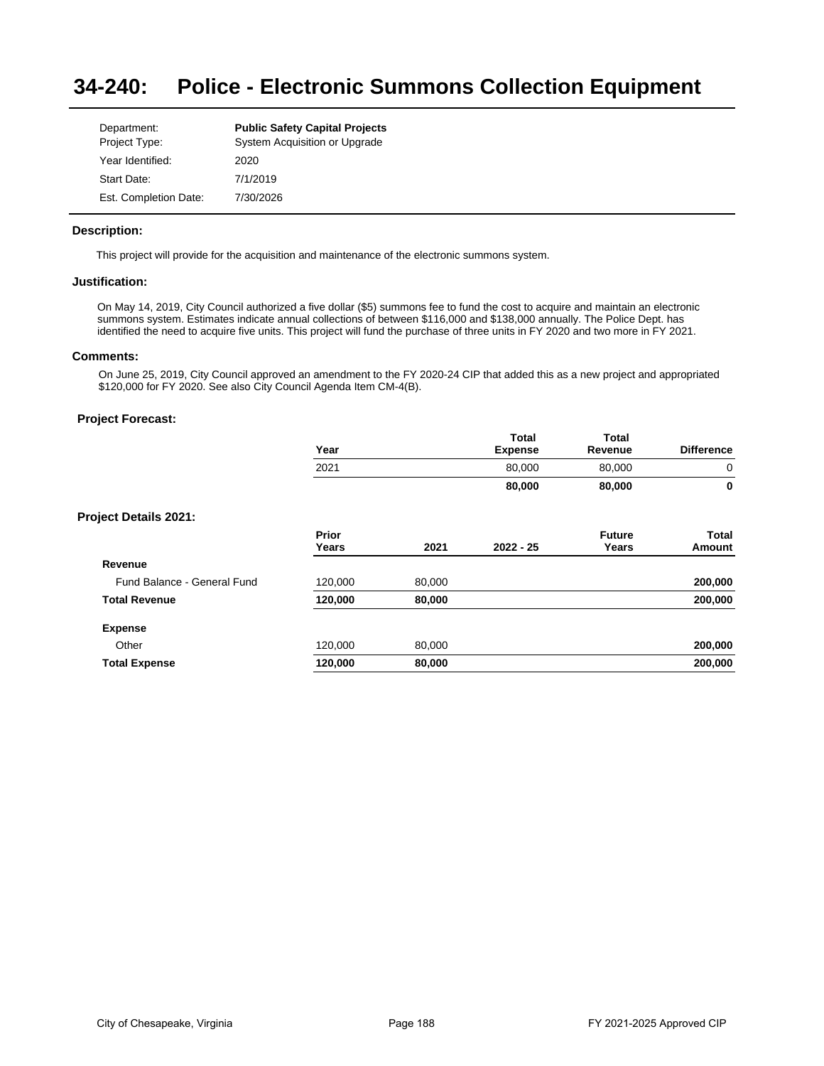#### **34-240: Police - Electronic Summons Collection Equipment**

| Department:           | <b>Public Safety Capital Projects</b> |
|-----------------------|---------------------------------------|
| Project Type:         | System Acquisition or Upgrade         |
| Year Identified:      | 2020                                  |
| Start Date:           | 7/1/2019                              |
| Est. Completion Date: | 7/30/2026                             |

## **Description:**

This project will provide for the acquisition and maintenance of the electronic summons system.

## **Justification:**

On May 14, 2019, City Council authorized a five dollar (\$5) summons fee to fund the cost to acquire and maintain an electronic summons system. Estimates indicate annual collections of between \$116,000 and \$138,000 annually. The Police Dept. has identified the need to acquire five units. This project will fund the purchase of three units in FY 2020 and two more in FY 2021.

## **Comments:**

On June 25, 2019, City Council approved an amendment to the FY 2020-24 CIP that added this as a new project and appropriated \$120,000 for FY 2020. See also City Council Agenda Item CM-4(B).

|                              | Year           |        | <b>Total</b><br><b>Expense</b> | <b>Total</b><br>Revenue | <b>Difference</b>      |
|------------------------------|----------------|--------|--------------------------------|-------------------------|------------------------|
|                              | 2021           |        | 80,000                         | 80,000                  | 0                      |
|                              |                |        | 80,000                         | 80,000                  | 0                      |
| <b>Project Details 2021:</b> |                |        |                                |                         |                        |
|                              | Prior<br>Years | 2021   | $2022 - 25$                    | <b>Future</b><br>Years  | <b>Total</b><br>Amount |
| Revenue                      |                |        |                                |                         |                        |
| Fund Balance - General Fund  | 120,000        | 80,000 |                                |                         | 200,000                |
| <b>Total Revenue</b>         | 120,000        | 80,000 |                                |                         | 200,000                |
| <b>Expense</b>               |                |        |                                |                         |                        |
| Other                        | 120,000        | 80,000 |                                |                         | 200,000                |
| <b>Total Expense</b>         | 120,000        | 80,000 |                                |                         | 200,000                |
|                              |                |        |                                |                         |                        |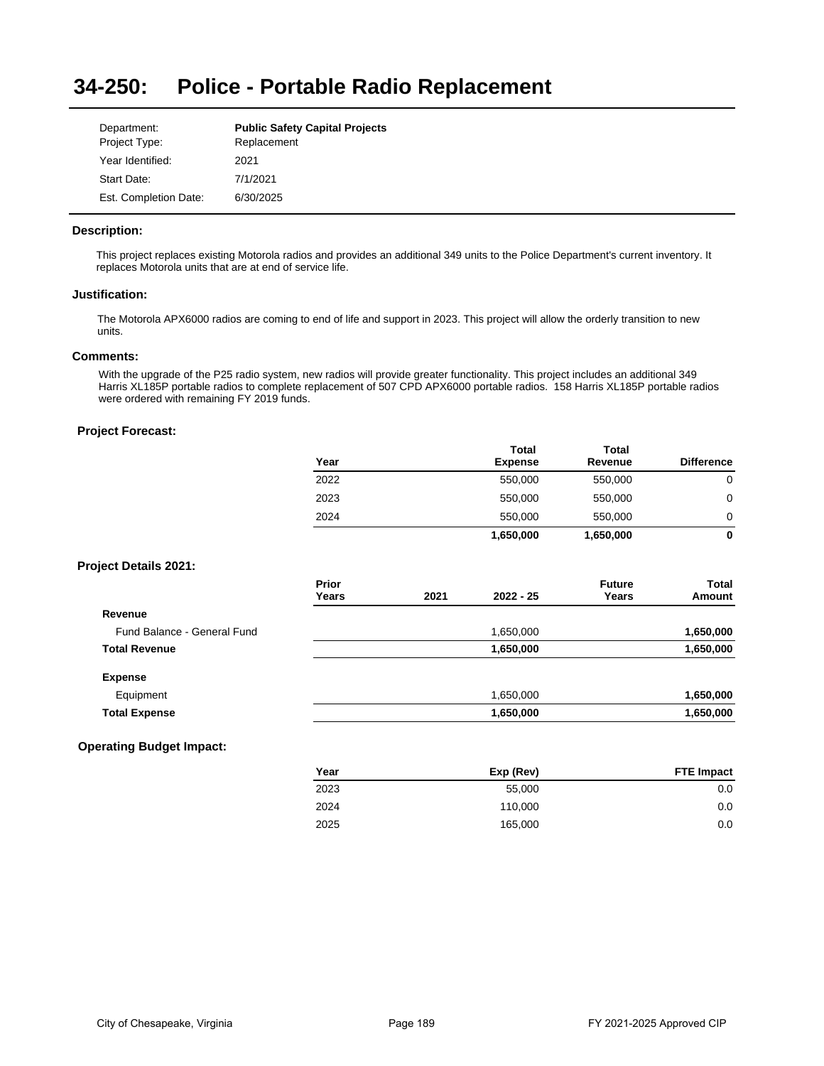#### **34-250: Police - Portable Radio Replacement**

| Department:           | <b>Public Safety Capital Projects</b> |
|-----------------------|---------------------------------------|
| Project Type:         | Replacement                           |
| Year Identified:      | 2021                                  |
| Start Date:           | 7/1/2021                              |
| Est. Completion Date: | 6/30/2025                             |

## **Description:**

This project replaces existing Motorola radios and provides an additional 349 units to the Police Department's current inventory. It replaces Motorola units that are at end of service life.

### **Justification:**

The Motorola APX6000 radios are coming to end of life and support in 2023. This project will allow the orderly transition to new units.

## **Comments:**

With the upgrade of the P25 radio system, new radios will provide greater functionality. This project includes an additional 349 Harris XL185P portable radios to complete replacement of 507 CPD APX6000 portable radios. 158 Harris XL185P portable radios were ordered with remaining FY 2019 funds.

## **Project Forecast:**

|      | <b>Total</b>   | <b>Total</b> |                   |
|------|----------------|--------------|-------------------|
| Year | <b>Expense</b> | Revenue      | <b>Difference</b> |
| 2022 | 550,000        | 550,000      |                   |
| 2023 | 550,000        | 550,000      | 0                 |
| 2024 | 550,000        | 550,000      |                   |
|      | 1,650,000      | 1,650,000    | 0                 |
|      |                |              |                   |

## **Project Details 2021:**

|                             | Prior |      |             | <b>Future</b> | <b>Total</b> |
|-----------------------------|-------|------|-------------|---------------|--------------|
|                             | Years | 2021 | $2022 - 25$ | Years         | Amount       |
| Revenue                     |       |      |             |               |              |
| Fund Balance - General Fund |       |      | 1,650,000   |               | 1,650,000    |
| <b>Total Revenue</b>        |       |      | 1,650,000   |               | 1,650,000    |
| <b>Expense</b>              |       |      |             |               |              |
| Equipment                   |       |      | 1,650,000   |               | 1,650,000    |
| <b>Total Expense</b>        |       |      | 1,650,000   |               | 1,650,000    |

# **Operating Budget Impact:**

| Year | Exp (Rev) | <b>FTE Impact</b> |
|------|-----------|-------------------|
| 2023 | 55.000    | 0.0               |
| 2024 | 110.000   | 0.0               |
| 2025 | 165,000   | 0.0               |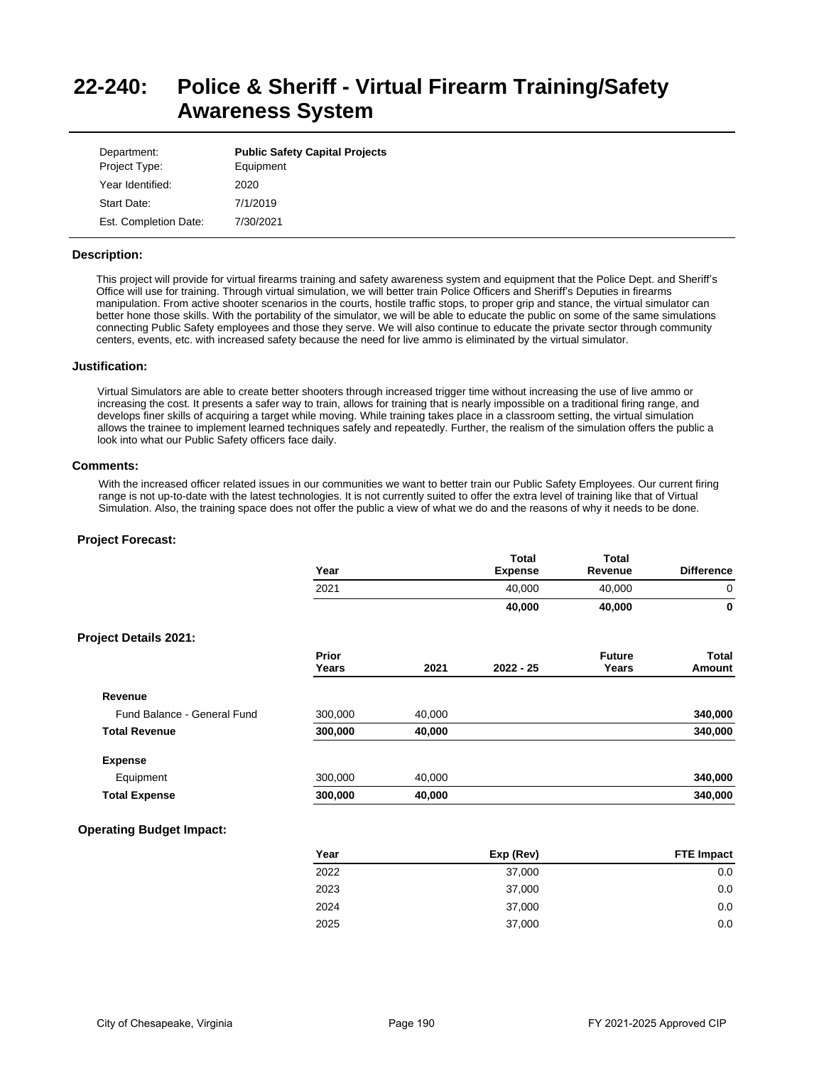# **22-240: Police & Sheriff - Virtual Firearm Training/Safety Awareness System**

| Department:<br>Project Type: | <b>Public Safety Capital Projects</b><br>Equipment |
|------------------------------|----------------------------------------------------|
| Year Identified:             | 2020                                               |
| Start Date:                  | 7/1/2019                                           |
| Est. Completion Date:        | 7/30/2021                                          |

### **Description:**

This project will provide for virtual firearms training and safety awareness system and equipment that the Police Dept. and Sheriff's Office will use for training. Through virtual simulation, we will better train Police Officers and Sheriff's Deputies in firearms manipulation. From active shooter scenarios in the courts, hostile traffic stops, to proper grip and stance, the virtual simulator can better hone those skills. With the portability of the simulator, we will be able to educate the public on some of the same simulations connecting Public Safety employees and those they serve. We will also continue to educate the private sector through community centers, events, etc. with increased safety because the need for live ammo is eliminated by the virtual simulator.

#### **Justification:**

Virtual Simulators are able to create better shooters through increased trigger time without increasing the use of live ammo or increasing the cost. It presents a safer way to train, allows for training that is nearly impossible on a traditional firing range, and develops finer skills of acquiring a target while moving. While training takes place in a classroom setting, the virtual simulation allows the trainee to implement learned techniques safely and repeatedly. Further, the realism of the simulation offers the public a look into what our Public Safety officers face daily.

#### **Comments:**

With the increased officer related issues in our communities we want to better train our Public Safety Employees. Our current firing range is not up-to-date with the latest technologies. It is not currently suited to offer the extra level of training like that of Virtual Simulation. Also, the training space does not offer the public a view of what we do and the reasons of why it needs to be done.

### **Project Forecast:**

|                             | Year           |        | Total<br><b>Expense</b> | <b>Total</b><br>Revenue | <b>Difference</b> |
|-----------------------------|----------------|--------|-------------------------|-------------------------|-------------------|
|                             | 2021           |        | 40,000                  | 40,000                  | $\mathbf 0$       |
|                             |                |        | 40,000                  | 40,000                  | $\mathbf 0$       |
| Project Details 2021:       |                |        |                         |                         |                   |
|                             | Prior<br>Years | 2021   | $2022 - 25$             | <b>Future</b><br>Years  | Total<br>Amount   |
| Revenue                     |                |        |                         |                         |                   |
| Fund Balance - General Fund | 300,000        | 40,000 |                         |                         | 340,000           |
| <b>Total Revenue</b>        | 300,000        | 40,000 |                         |                         | 340,000           |
| <b>Expense</b>              |                |        |                         |                         |                   |
| Equipment                   | 300,000        | 40,000 |                         |                         | 340,000           |
| <b>Total Expense</b>        | 300,000        | 40,000 |                         |                         | 340,000           |

## **Operating Budget Impact:**

| Year | Exp (Rev) | <b>FTE Impact</b> |
|------|-----------|-------------------|
| 2022 | 37,000    | 0.0               |
| 2023 | 37,000    | 0.0               |
| 2024 | 37,000    | 0.0               |
| 2025 | 37,000    | 0.0               |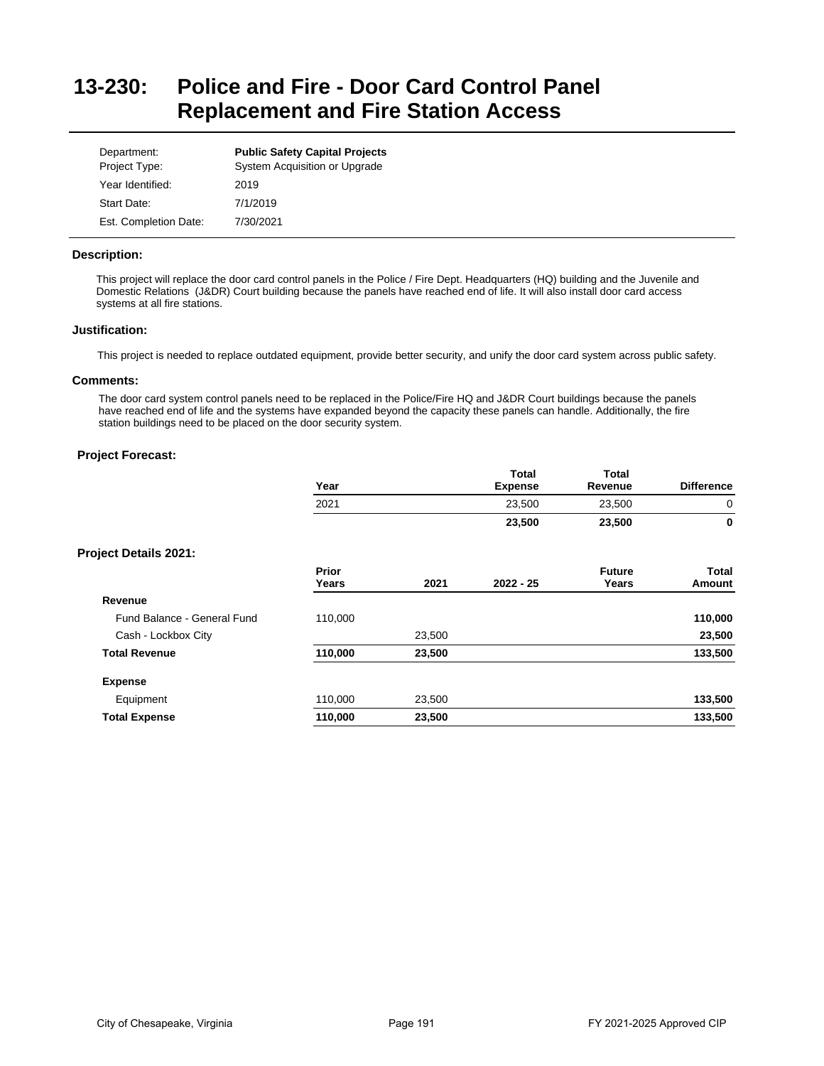# **13-230: Police and Fire - Door Card Control Panel Replacement and Fire Station Access**

| Department:<br>Project Type: | <b>Public Safety Capital Projects</b><br>System Acquisition or Upgrade |
|------------------------------|------------------------------------------------------------------------|
| Year Identified:             | 2019                                                                   |
| Start Date:                  | 7/1/2019                                                               |
| Est. Completion Date:        | 7/30/2021                                                              |

## **Description:**

This project will replace the door card control panels in the Police / Fire Dept. Headquarters (HQ) building and the Juvenile and Domestic Relations (J&DR) Court building because the panels have reached end of life. It will also install door card access systems at all fire stations.

### **Justification:**

This project is needed to replace outdated equipment, provide better security, and unify the door card system across public safety.

### **Comments:**

The door card system control panels need to be replaced in the Police/Fire HQ and J&DR Court buildings because the panels have reached end of life and the systems have expanded beyond the capacity these panels can handle. Additionally, the fire station buildings need to be placed on the door security system.

|                              | Year                  |        | <b>Total</b><br><b>Expense</b> | <b>Total</b><br>Revenue | <b>Difference</b> |
|------------------------------|-----------------------|--------|--------------------------------|-------------------------|-------------------|
|                              | 2021                  |        | 23,500                         | 23,500                  | 0                 |
|                              |                       |        | 23,500                         | 23,500                  | 0                 |
| <b>Project Details 2021:</b> |                       |        |                                |                         |                   |
|                              | <b>Prior</b><br>Years | 2021   | $2022 - 25$                    | <b>Future</b><br>Years  | Total<br>Amount   |
| Revenue                      |                       |        |                                |                         |                   |
| Fund Balance - General Fund  | 110,000               |        |                                |                         | 110,000           |
| Cash - Lockbox City          |                       | 23,500 |                                |                         | 23,500            |
| <b>Total Revenue</b>         | 110,000               | 23,500 |                                |                         | 133,500           |
| <b>Expense</b>               |                       |        |                                |                         |                   |
| Equipment                    | 110,000               | 23,500 |                                |                         | 133,500           |
| <b>Total Expense</b>         | 110,000               | 23,500 |                                |                         | 133,500           |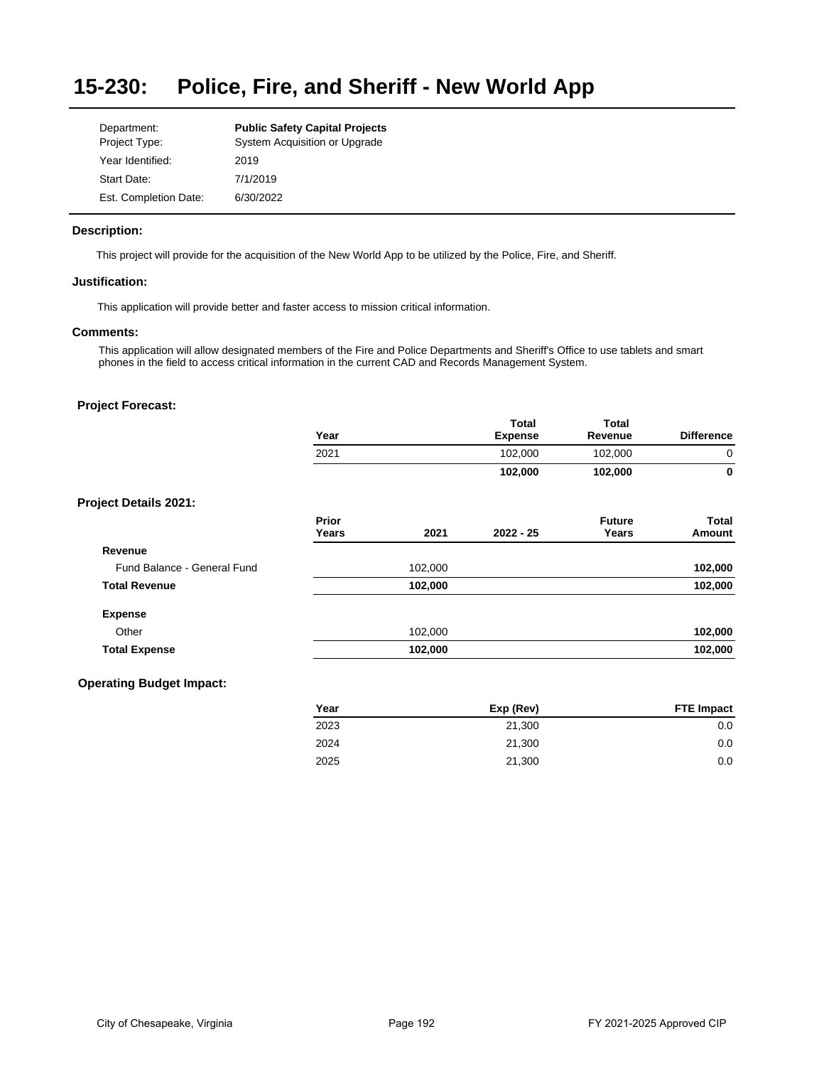#### **15-230: Police, Fire, and Sheriff - New World App**

| Department:           | <b>Public Safety Capital Projects</b> |
|-----------------------|---------------------------------------|
| Project Type:         | System Acquisition or Upgrade         |
| Year Identified:      | 2019                                  |
| Start Date:           | 7/1/2019                              |
| Est. Completion Date: | 6/30/2022                             |

## **Description:**

This project will provide for the acquisition of the New World App to be utilized by the Police, Fire, and Sheriff.

## **Justification:**

This application will provide better and faster access to mission critical information.

# **Comments:**

This application will allow designated members of the Fire and Police Departments and Sheriff's Office to use tablets and smart phones in the field to access critical information in the current CAD and Records Management System.

## **Project Forecast:**

|                              | Year           |         | <b>Total</b><br><b>Expense</b> | <b>Total</b><br>Revenue | <b>Difference</b> |
|------------------------------|----------------|---------|--------------------------------|-------------------------|-------------------|
|                              | 2021           |         | 102,000                        | 102,000                 | $\mathbf 0$       |
|                              |                |         | 102,000                        | 102,000                 | 0                 |
| <b>Project Details 2021:</b> |                |         |                                |                         |                   |
|                              | Prior<br>Years | 2021    | $2022 - 25$                    | <b>Future</b><br>Years  | Total<br>Amount   |
| Revenue                      |                |         |                                |                         |                   |
| Fund Balance - General Fund  |                | 102,000 |                                |                         | 102,000           |
| <b>Total Revenue</b>         |                | 102,000 |                                |                         | 102,000           |
| <b>Expense</b>               |                |         |                                |                         |                   |
| Other                        |                | 102,000 |                                |                         | 102,000           |
| <b>Total Expense</b>         |                | 102,000 |                                |                         | 102,000           |

## **Operating Budget Impact:**

| Exp (Rev) | <b>FTE Impact</b> |
|-----------|-------------------|
| 21,300    | 0.0               |
| 21.300    | 0.0               |
| 21,300    | 0.0               |
|           |                   |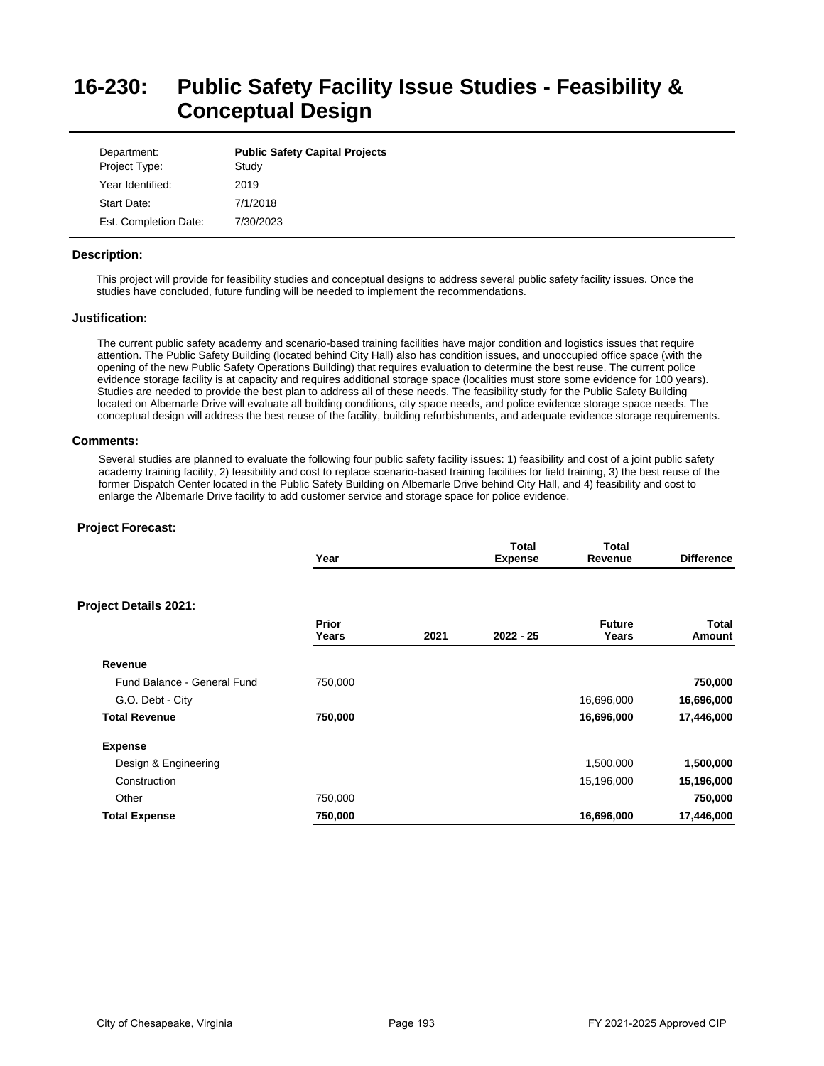# **16-230: Public Safety Facility Issue Studies - Feasibility & Conceptual Design**

| Department:<br>Project Type: | <b>Public Safety Capital Projects</b><br>Study |
|------------------------------|------------------------------------------------|
| Year Identified:             | 2019                                           |
| Start Date:                  | 7/1/2018                                       |
| Est. Completion Date:        | 7/30/2023                                      |

## **Description:**

This project will provide for feasibility studies and conceptual designs to address several public safety facility issues. Once the studies have concluded, future funding will be needed to implement the recommendations.

## **Justification:**

The current public safety academy and scenario-based training facilities have major condition and logistics issues that require attention. The Public Safety Building (located behind City Hall) also has condition issues, and unoccupied office space (with the opening of the new Public Safety Operations Building) that requires evaluation to determine the best reuse. The current police evidence storage facility is at capacity and requires additional storage space (localities must store some evidence for 100 years). Studies are needed to provide the best plan to address all of these needs. The feasibility study for the Public Safety Building located on Albemarle Drive will evaluate all building conditions, city space needs, and police evidence storage space needs. The conceptual design will address the best reuse of the facility, building refurbishments, and adequate evidence storage requirements.

## **Comments:**

Several studies are planned to evaluate the following four public safety facility issues: 1) feasibility and cost of a joint public safety academy training facility, 2) feasibility and cost to replace scenario-based training facilities for field training, 3) the best reuse of the former Dispatch Center located in the Public Safety Building on Albemarle Drive behind City Hall, and 4) feasibility and cost to enlarge the Albemarle Drive facility to add customer service and storage space for police evidence.

|                              | Year           |      | <b>Total</b><br><b>Expense</b> | <b>Total</b><br>Revenue | <b>Difference</b> |
|------------------------------|----------------|------|--------------------------------|-------------------------|-------------------|
| <b>Project Details 2021:</b> |                |      |                                |                         |                   |
|                              | Prior<br>Years | 2021 | $2022 - 25$                    | <b>Future</b><br>Years  | Total<br>Amount   |
| Revenue                      |                |      |                                |                         |                   |
| Fund Balance - General Fund  | 750,000        |      |                                |                         | 750,000           |
| G.O. Debt - City             |                |      |                                | 16,696,000              | 16,696,000        |
| <b>Total Revenue</b>         | 750,000        |      |                                | 16,696,000              | 17,446,000        |
| <b>Expense</b>               |                |      |                                |                         |                   |
| Design & Engineering         |                |      |                                | 1,500,000               | 1,500,000         |
| Construction                 |                |      |                                | 15,196,000              | 15,196,000        |
| Other                        | 750,000        |      |                                |                         | 750,000           |
| <b>Total Expense</b>         | 750,000        |      |                                | 16,696,000              | 17,446,000        |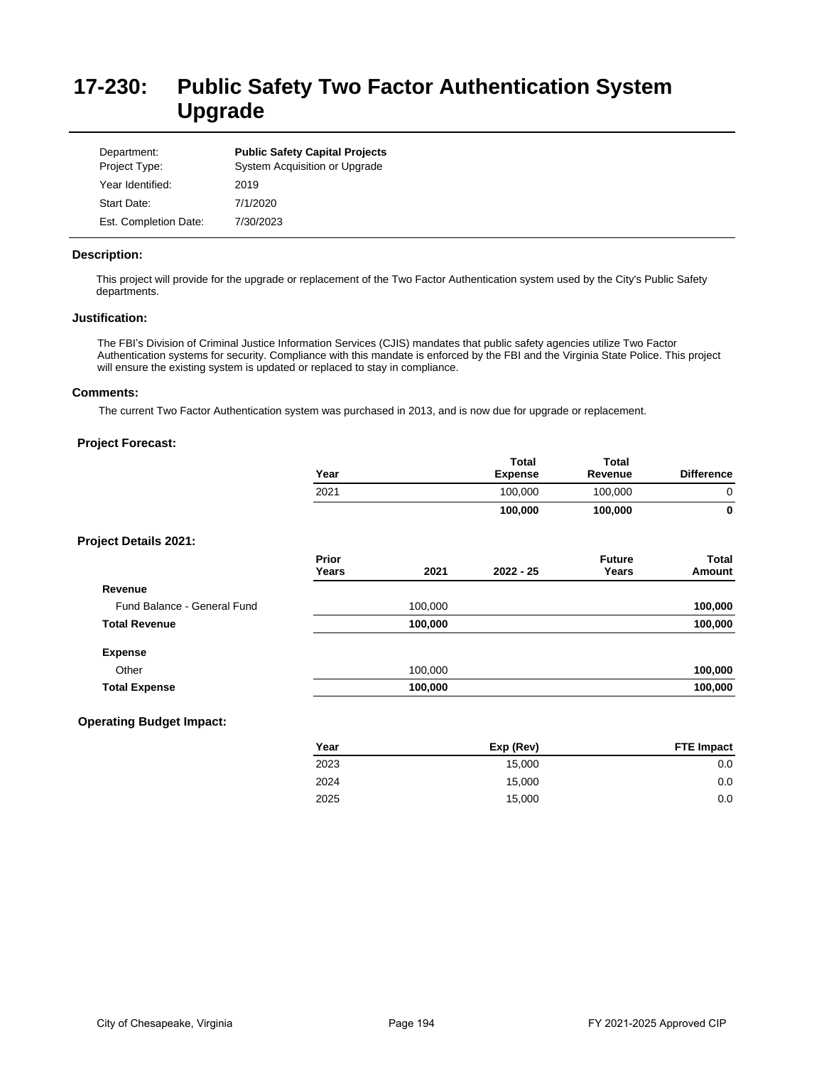# **17-230: Public Safety Two Factor Authentication System Upgrade**

| Department:<br>Project Type: | <b>Public Safety Capital Projects</b><br>System Acquisition or Upgrade |
|------------------------------|------------------------------------------------------------------------|
| Year Identified:             | 2019                                                                   |
| Start Date:                  | 7/1/2020                                                               |
| Est. Completion Date:        | 7/30/2023                                                              |

## **Description:**

This project will provide for the upgrade or replacement of the Two Factor Authentication system used by the City's Public Safety departments.

## **Justification:**

The FBI's Division of Criminal Justice Information Services (CJIS) mandates that public safety agencies utilize Two Factor Authentication systems for security. Compliance with this mandate is enforced by the FBI and the Virginia State Police. This project will ensure the existing system is updated or replaced to stay in compliance.

# **Comments:**

The current Two Factor Authentication system was purchased in 2013, and is now due for upgrade or replacement.

|                              | Year                  |         | Total<br><b>Expense</b> | <b>Total</b><br>Revenue | <b>Difference</b> |
|------------------------------|-----------------------|---------|-------------------------|-------------------------|-------------------|
|                              | 2021                  |         | 100,000                 | 100,000                 | $\mathbf 0$       |
|                              |                       |         | 100,000                 | 100,000                 | $\mathbf 0$       |
| <b>Project Details 2021:</b> |                       |         |                         |                         |                   |
|                              | <b>Prior</b><br>Years | 2021    | $2022 - 25$             | <b>Future</b><br>Years  | Total<br>Amount   |
| Revenue                      |                       |         |                         |                         |                   |
| Fund Balance - General Fund  |                       | 100,000 |                         |                         | 100,000           |
| <b>Total Revenue</b>         |                       | 100,000 |                         |                         | 100,000           |
| <b>Expense</b>               |                       |         |                         |                         |                   |
| Other                        |                       | 100,000 |                         |                         | 100,000           |
| <b>Total Expense</b>         |                       | 100,000 |                         |                         | 100,000           |

| Year | Exp (Rev) | <b>FTE Impact</b> |
|------|-----------|-------------------|
| 2023 | 15.000    | 0.0               |
| 2024 | 15.000    | 0.0               |
| 2025 | 15,000    | 0.0               |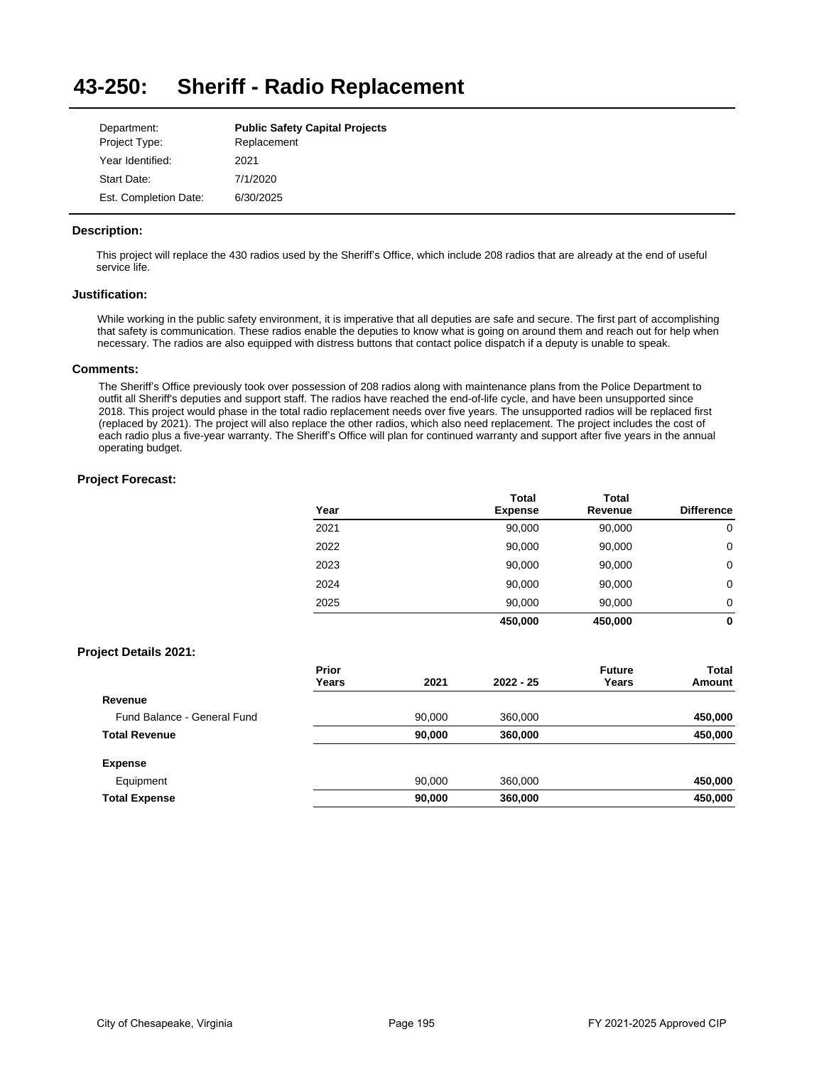#### **43-250: Sheriff - Radio Replacement**

| Department:           | <b>Public Safety Capital Projects</b> |
|-----------------------|---------------------------------------|
| Project Type:         | Replacement                           |
| Year Identified:      | 2021                                  |
| Start Date:           | 7/1/2020                              |
| Est. Completion Date: | 6/30/2025                             |

## **Description:**

This project will replace the 430 radios used by the Sheriff's Office, which include 208 radios that are already at the end of useful service life.

## **Justification:**

While working in the public safety environment, it is imperative that all deputies are safe and secure. The first part of accomplishing that safety is communication. These radios enable the deputies to know what is going on around them and reach out for help when necessary. The radios are also equipped with distress buttons that contact police dispatch if a deputy is unable to speak.

### **Comments:**

The Sheriff's Office previously took over possession of 208 radios along with maintenance plans from the Police Department to outfit all Sheriff's deputies and support staff. The radios have reached the end-of-life cycle, and have been unsupported since 2018. This project would phase in the total radio replacement needs over five years. The unsupported radios will be replaced first (replaced by 2021). The project will also replace the other radios, which also need replacement. The project includes the cost of each radio plus a five-year warranty. The Sheriff's Office will plan for continued warranty and support after five years in the annual operating budget.

## **Project Forecast:**

|      | <b>Total</b>   | <b>Total</b> |                   |
|------|----------------|--------------|-------------------|
| Year | <b>Expense</b> | Revenue      | <b>Difference</b> |
| 2021 | 90,000         | 90,000       | 0                 |
| 2022 | 90,000         | 90,000       | 0                 |
| 2023 | 90,000         | 90,000       | 0                 |
| 2024 | 90,000         | 90,000       | 0                 |
| 2025 | 90,000         | 90,000       | 0                 |
|      | 450,000        | 450.000      | 0                 |

## **Project Details 2021:**

|                             | <b>Prior</b><br>Years | 2021   | $2022 - 25$ | <b>Future</b><br>Years | Total<br>Amount |
|-----------------------------|-----------------------|--------|-------------|------------------------|-----------------|
| Revenue                     |                       |        |             |                        |                 |
| Fund Balance - General Fund |                       | 90.000 | 360,000     |                        | 450,000         |
| <b>Total Revenue</b>        |                       | 90,000 | 360,000     |                        | 450,000         |
| <b>Expense</b>              |                       |        |             |                        |                 |
| Equipment                   |                       | 90.000 | 360,000     |                        | 450,000         |
| <b>Total Expense</b>        |                       | 90,000 | 360,000     |                        | 450,000         |